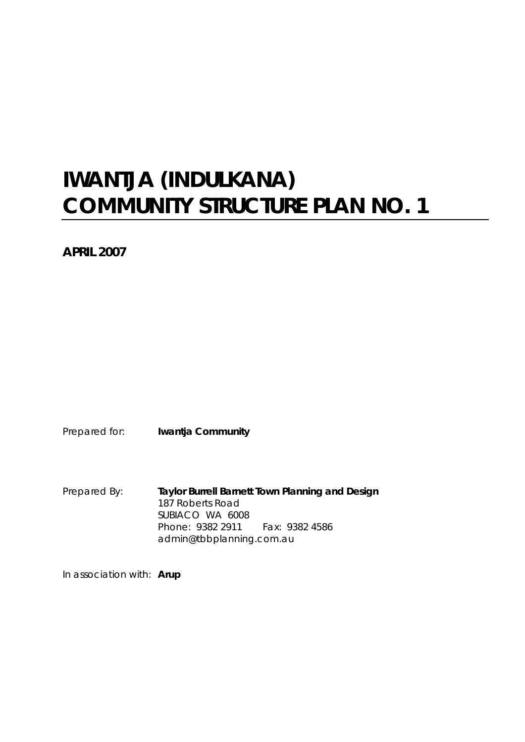# **IWANTJA (INDULKANA) COMMUNITY STRUCTURE PLAN NO. 1**

**APRIL 2007** 

Prepared for: **Iwantja Community** 

Prepared By: **Taylor Burrell Barnett Town Planning and Design**  187 Roberts Road SUBIACO WA 6008 Phone: 9382 2911 Fax: 9382 4586 admin@tbbplanning.com.au

In association with: **Arup**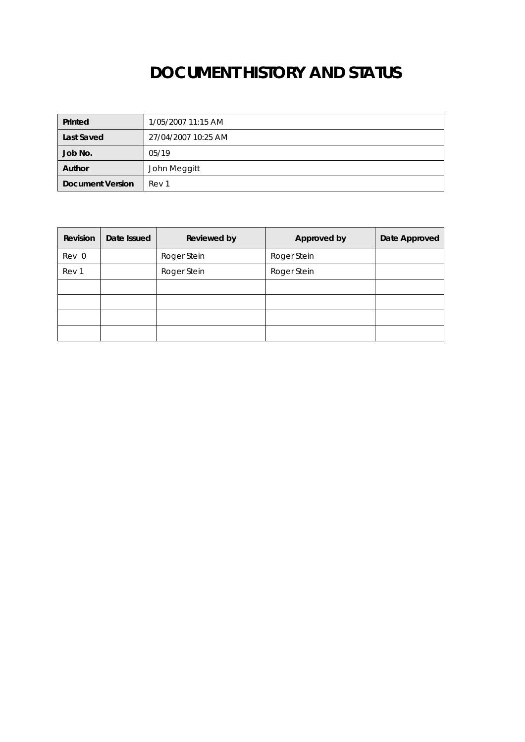# **DOCUMENT HISTORY AND STATUS**

| Printed                 | 1/05/2007 11:15 AM  |
|-------------------------|---------------------|
| Last Saved              | 27/04/2007 10:25 AM |
| Job No.                 | 05/19               |
| Author                  | John Meggitt        |
| <b>Document Version</b> | Rev 1               |

| Revision | Date Issued | <b>Reviewed by</b> | Approved by | Date Approved |
|----------|-------------|--------------------|-------------|---------------|
| Rev 0    |             | Roger Stein        | Roger Stein |               |
| Rev 1    |             | Roger Stein        | Roger Stein |               |
|          |             |                    |             |               |
|          |             |                    |             |               |
|          |             |                    |             |               |
|          |             |                    |             |               |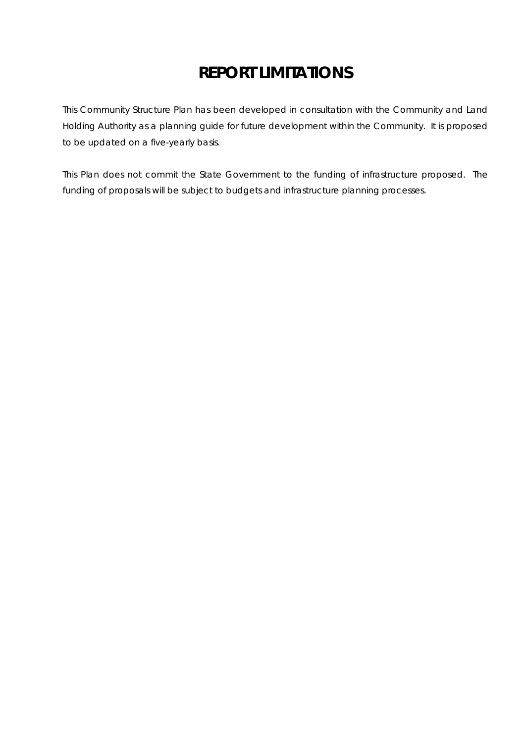# **REPORT LIMITATIONS**

This Community Structure Plan has been developed in consultation with the Community and Land Holding Authority as a planning guide for future development within the Community. It is proposed to be updated on a five-yearly basis.

This Plan does not commit the State Government to the funding of infrastructure proposed. The funding of proposals will be subject to budgets and infrastructure planning processes.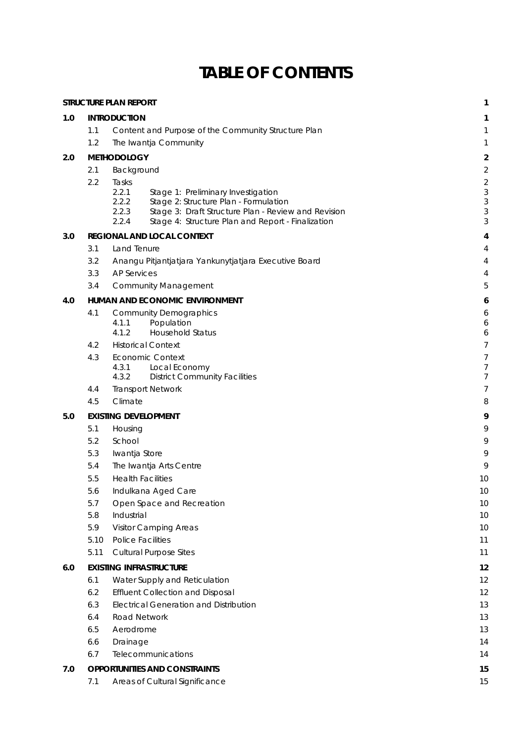# **TABLE OF CONTENTS**

|     |                    | <b>STRUCTURE PLAN REPORT</b>                                                                                   | 1                   |
|-----|--------------------|----------------------------------------------------------------------------------------------------------------|---------------------|
| 1.0 |                    | <b>INTRODUCTION</b>                                                                                            | 1                   |
|     | 1.1                | Content and Purpose of the Community Structure Plan                                                            | 1                   |
|     | 1.2                | The Iwantja Community                                                                                          | 1                   |
| 2.0 | <b>METHODOLOGY</b> |                                                                                                                |                     |
|     | 2.1                | Background                                                                                                     | $\overline{c}$      |
|     | 2.2                | Tasks                                                                                                          | $\overline{c}$      |
|     |                    | 2.2.1<br>Stage 1: Preliminary Investigation                                                                    | 3                   |
|     |                    | 2.2.2<br>Stage 2: Structure Plan - Formulation<br>2.2.3<br>Stage 3: Draft Structure Plan - Review and Revision | 3<br>3              |
|     |                    | 2.2.4<br>Stage 4: Structure Plan and Report - Finalization                                                     | 3                   |
| 3.0 |                    | REGIONAL AND LOCAL CONTEXT                                                                                     | 4                   |
|     | 3.1                | Land Tenure                                                                                                    | 4                   |
|     | 3.2                | Anangu Pitjantjatjara Yankunytjatjara Executive Board                                                          | 4                   |
|     | 3.3                | <b>AP Services</b>                                                                                             | 4                   |
|     | 3.4                | <b>Community Management</b>                                                                                    | 5                   |
| 4.0 |                    | HUMAN AND ECONOMIC ENVIRONMENT                                                                                 | 6                   |
|     | 4.1                | <b>Community Demographics</b>                                                                                  | 6                   |
|     |                    | 4.1.1<br>Population                                                                                            | 6                   |
|     |                    | <b>Household Status</b><br>4.1.2                                                                               | 6                   |
|     | 4.2                | <b>Historical Context</b>                                                                                      | 7                   |
|     | 4.3                | <b>Economic Context</b><br>4.3.1<br>Local Economy                                                              | $\overline{7}$<br>7 |
|     |                    | 4.3.2<br><b>District Community Facilities</b>                                                                  | 7                   |
|     | 4.4                | <b>Transport Network</b>                                                                                       | 7                   |
|     | 4.5                | Climate                                                                                                        | 8                   |
| 5.0 |                    | <b>EXISTING DEVELOPMENT</b>                                                                                    | 9                   |
|     | 5.1                | Housing                                                                                                        | 9                   |
|     | 5.2                | School                                                                                                         | 9                   |
|     | 5.3                | Iwantja Store                                                                                                  | 9                   |
|     | 5.4                | The Iwantja Arts Centre                                                                                        | 9                   |
|     | 5.5                | <b>Health Facilities</b>                                                                                       | 10                  |
|     | 5.6                | Indulkana Aged Care                                                                                            | 10                  |
|     | 5.7                | Open Space and Recreation                                                                                      | 10                  |
|     | 5.8                | Industrial                                                                                                     | 10                  |
|     | 5.9                | <b>Visitor Camping Areas</b>                                                                                   | 10                  |
|     | 5.10               | <b>Police Facilities</b>                                                                                       | 11                  |
|     | 5.11               | <b>Cultural Purpose Sites</b>                                                                                  | 11                  |
| 6.0 |                    | <b>EXISTING INFRASTRUCTURE</b>                                                                                 | 12                  |
|     | 6.1                | Water Supply and Reticulation                                                                                  | 12                  |
|     | 6.2                | <b>Effluent Collection and Disposal</b>                                                                        | 12                  |
|     | 6.3                | <b>Electrical Generation and Distribution</b>                                                                  | 13                  |
|     | 6.4                | <b>Road Network</b>                                                                                            | 13                  |
|     | 6.5                | Aerodrome                                                                                                      | 13                  |
|     | 6.6                | Drainage                                                                                                       | 14                  |
|     | 6.7                | Telecommunications                                                                                             | 14                  |
| 7.0 |                    | <b>OPPORTUNITIES AND CONSTRAINTS</b>                                                                           | 15                  |
|     | 7.1                | Areas of Cultural Significance                                                                                 | 15                  |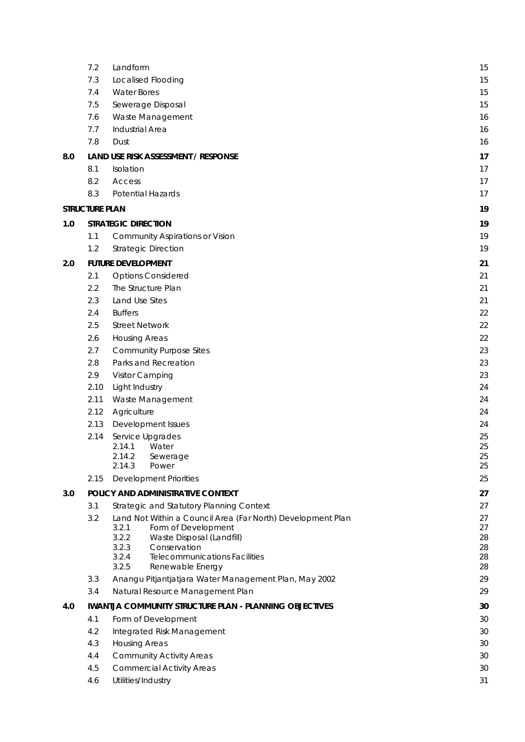|     | 7.2                   | Landform                                                                                    | 15       |
|-----|-----------------------|---------------------------------------------------------------------------------------------|----------|
|     | 7.3                   | Localised Flooding                                                                          | 15       |
|     | 7.4                   | <b>Water Bores</b>                                                                          | 15       |
|     | 7.5                   | Sewerage Disposal                                                                           | 15       |
|     | 7.6                   | Waste Management                                                                            | 16       |
|     | 7.7                   | <b>Industrial Area</b>                                                                      | 16       |
|     | 7.8                   | Dust                                                                                        | 16       |
| 8.0 |                       | LAND USE RISK ASSESSMENT / RESPONSE                                                         | 17       |
|     | 8.1                   | Isolation                                                                                   | 17       |
|     | 8.2                   | Access                                                                                      | 17       |
|     | 8.3                   | Potential Hazards                                                                           | 17       |
|     | <b>STRUCTURE PLAN</b> |                                                                                             | 19       |
| 1.0 |                       | <b>STRATEGIC DIRECTION</b>                                                                  | 19       |
|     | 1.1                   | <b>Community Aspirations or Vision</b>                                                      | 19       |
|     | 1.2                   | <b>Strategic Direction</b>                                                                  | 19       |
|     |                       |                                                                                             |          |
| 2.0 |                       | <b>FUTURE DEVELOPMENT</b>                                                                   | 21       |
|     | 2.1                   | <b>Options Considered</b>                                                                   | 21       |
|     | 2.2                   | The Structure Plan                                                                          | 21       |
|     | 2.3                   | Land Use Sites                                                                              | 21       |
|     | 2.4<br>2.5            | <b>Buffers</b>                                                                              | 22<br>22 |
|     | 2.6                   | <b>Street Network</b>                                                                       |          |
|     | 2.7                   | <b>Housing Areas</b><br><b>Community Purpose Sites</b>                                      | 22<br>23 |
|     | 2.8                   | Parks and Recreation                                                                        | 23       |
|     | 2.9                   | Visitor Camping                                                                             | 23       |
|     | 2.10                  | Light Industry                                                                              | 24       |
|     | 2.11                  | Waste Management                                                                            | 24       |
|     | 2.12                  | Agriculture                                                                                 | 24       |
|     | 2.13                  | Development Issues                                                                          | 24       |
|     | 2.14                  | Service Upgrades                                                                            | 25       |
|     |                       | 2.14.1<br>Water                                                                             | 25       |
|     |                       | 2.14.2<br>Sewerage                                                                          | 25       |
|     |                       | 2.14.3<br>Power                                                                             | 25       |
|     | 2.15                  | <b>Development Priorities</b>                                                               | 25       |
| 3.0 |                       | POLICY AND ADMINISTRATIVE CONTEXT                                                           | 27       |
|     | 3.1                   | Strategic and Statutory Planning Context                                                    | 27       |
|     | 3.2                   | Land Not Within a Council Area (Far North) Development Plan<br>3.2.1<br>Form of Development | 27<br>27 |
|     |                       | 3.2.2<br>Waste Disposal (Landfill)                                                          | 28       |
|     |                       | 3.2.3<br>Conservation                                                                       | 28       |
|     |                       | <b>Telecommunications Facilities</b><br>3.2.4<br>3.2.5                                      | 28<br>28 |
|     | 3.3                   | Renewable Energy                                                                            | 29       |
|     | 3.4                   | Anangu Pitjantjatjara Water Management Plan, May 2002<br>Natural Resource Management Plan   | 29       |
|     |                       |                                                                                             |          |
| 4.0 |                       | <b>IWANTJA COMMUNITY STRUCTURE PLAN - PLANNING OBJECTIVES</b>                               | 30       |
|     | 4.1                   | Form of Development                                                                         | 30       |
|     | 4.2                   | Integrated Risk Management                                                                  | 30       |
|     | 4.3                   | <b>Housing Areas</b>                                                                        | 30       |
|     | 4.4                   | <b>Community Activity Areas</b>                                                             | 30       |
|     | 4.5                   | <b>Commercial Activity Areas</b>                                                            | 30       |
|     | 4.6                   | Utilities/Industry                                                                          | 31       |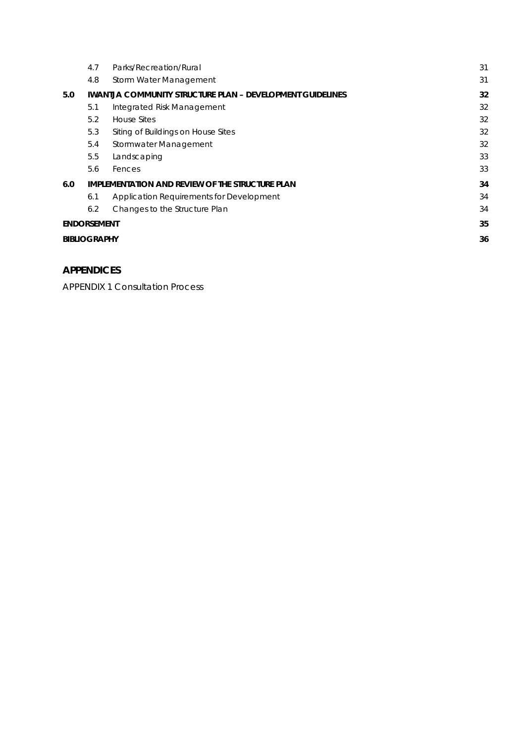|                    | 4.7                 | Parks/Recreation/Rural                                           | 31 |
|--------------------|---------------------|------------------------------------------------------------------|----|
|                    | 4.8                 | Storm Water Management                                           | 31 |
| 5.0                |                     | <b>IWANTJA COMMUNITY STRUCTURE PLAN – DEVELOPMENT GUIDELINES</b> | 32 |
|                    | 5.1                 | Integrated Risk Management                                       | 32 |
|                    | 5.2                 | <b>House Sites</b>                                               | 32 |
|                    | 5.3                 | Siting of Buildings on House Sites                               | 32 |
|                    | 5.4                 | Stormwater Management                                            | 32 |
|                    | 5.5                 | Landscaping                                                      | 33 |
|                    | 5.6                 | Fences                                                           | 33 |
| 6.0                |                     | IMPLEMENTATION AND REVIEW OF THE STRUCTURE PLAN                  | 34 |
|                    | 6.1                 | Application Requirements for Development                         | 34 |
|                    | 6.2                 | Changes to the Structure Plan                                    | 34 |
| <b>ENDORSEMENT</b> |                     |                                                                  | 35 |
|                    | <b>BIBLIOGRAPHY</b> |                                                                  |    |
|                    |                     |                                                                  |    |

# **APPENDICES**

APPENDIX 1 Consultation Process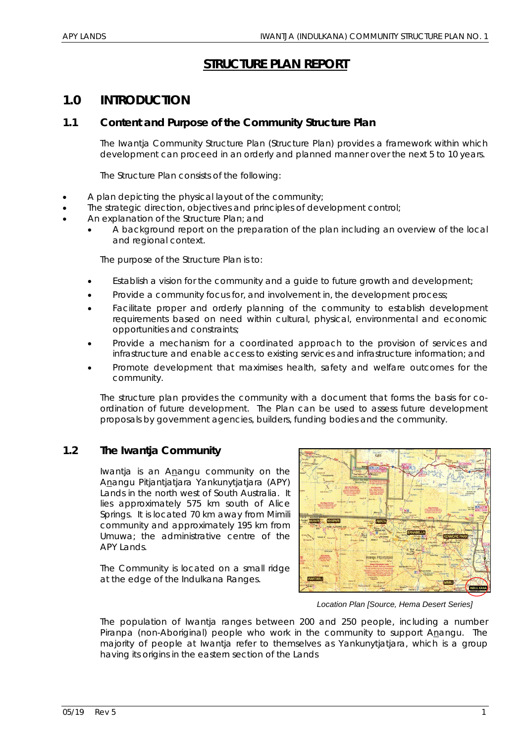# **STRUCTURE PLAN REPORT**

# **1.0 INTRODUCTION**

# **1.1 Content and Purpose of the Community Structure Plan**

The Iwantja Community Structure Plan (Structure Plan) provides a framework within which development can proceed in an orderly and planned manner over the next 5 to 10 years.

The Structure Plan consists of the following:

- A plan depicting the physical layout of the community;
- The strategic direction, objectives and principles of development control;
- An explanation of the Structure Plan; and
	- A background report on the preparation of the plan including an overview of the local and regional context.

The purpose of the Structure Plan is to:

- Establish a vision for the community and a guide to future growth and development;
- Provide a community focus for, and involvement in, the development process;
- Facilitate proper and orderly planning of the community to establish development requirements based on need within cultural, physical, environmental and economic opportunities and constraints;
- Provide a mechanism for a coordinated approach to the provision of services and infrastructure and enable access to existing services and infrastructure information; and
- Promote development that maximises health, safety and welfare outcomes for the community.

The structure plan provides the community with a document that forms the basis for coordination of future development. The Plan can be used to assess future development proposals by government agencies, builders, funding bodies and the community.

# **1.2 The Iwantja Community**

Iwantja is an Anangu community on the Anangu Pitjantjatjara Yankunytjatjara (APY) Lands in the north west of South Australia. It lies approximately 575 km south of Alice Springs. It is located 70 km away from Mimili community and approximately 195 km from Umuwa; the administrative centre of the APY Lands.

The Community is located on a small ridge at the edge of the Indulkana Ranges.



*Location Plan [Source, Hema Desert Series]* 

The population of Iwantja ranges between 200 and 250 people, including a number Piranpa (non-Aboriginal) people who work in the community to support Anangu. The majority of people at Iwantja refer to themselves as Yankunytjatjara, which is a group having its origins in the eastern section of the Lands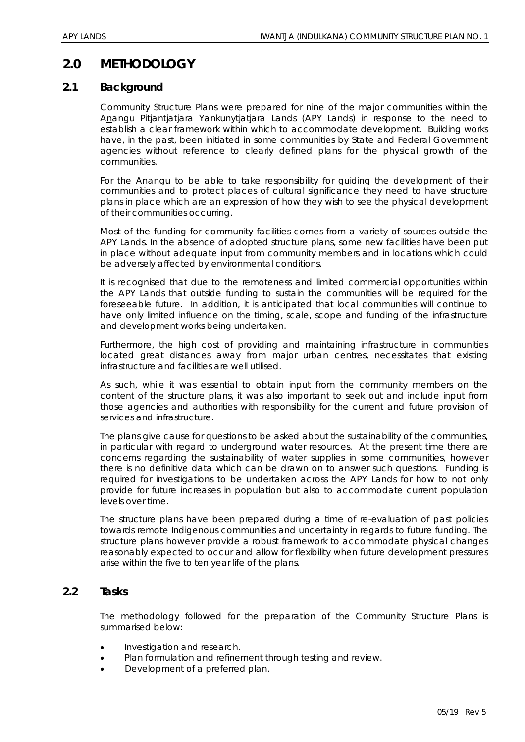# **2.0 METHODOLOGY**

#### **2.1 Background**

Community Structure Plans were prepared for nine of the major communities within the Anangu Pitjantjatjara Yankunytjatjara Lands (APY Lands) in response to the need to establish a clear framework within which to accommodate development. Building works have, in the past, been initiated in some communities by State and Federal Government agencies without reference to clearly defined plans for the physical growth of the communities.

For the Anangu to be able to take responsibility for guiding the development of their communities and to protect places of cultural significance they need to have structure plans in place which are an expression of how they wish to see the physical development of their communities occurring.

Most of the funding for community facilities comes from a variety of sources outside the APY Lands. In the absence of adopted structure plans, some new facilities have been put in place without adequate input from community members and in locations which could be adversely affected by environmental conditions.

It is recognised that due to the remoteness and limited commercial opportunities within the APY Lands that outside funding to sustain the communities will be required for the foreseeable future. In addition, it is anticipated that local communities will continue to have only limited influence on the timing, scale, scope and funding of the infrastructure and development works being undertaken.

Furthermore, the high cost of providing and maintaining infrastructure in communities located great distances away from major urban centres, necessitates that existing infrastructure and facilities are well utilised.

As such, while it was essential to obtain input from the community members on the content of the structure plans, it was also important to seek out and include input from those agencies and authorities with responsibility for the current and future provision of services and infrastructure.

The plans give cause for questions to be asked about the sustainability of the communities, in particular with regard to underground water resources. At the present time there are concerns regarding the sustainability of water supplies in some communities, however there is no definitive data which can be drawn on to answer such questions. Funding is required for investigations to be undertaken across the APY Lands for how to not only provide for future increases in population but also to accommodate current population levels over time.

The structure plans have been prepared during a time of re-evaluation of past policies towards remote Indigenous communities and uncertainty in regards to future funding. The structure plans however provide a robust framework to accommodate physical changes reasonably expected to occur and allow for flexibility when future development pressures arise within the five to ten year life of the plans.

#### **2.2 Tasks**

The methodology followed for the preparation of the Community Structure Plans is summarised below:

- Investigation and research.
- Plan formulation and refinement through testing and review.
- Development of a preferred plan.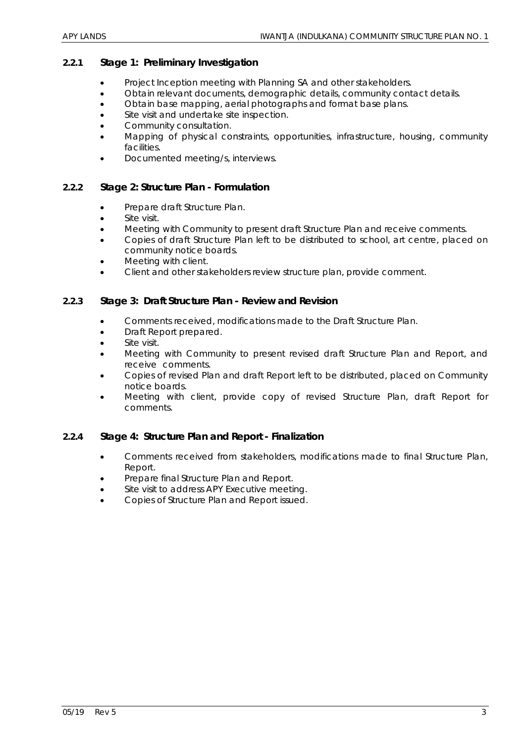#### *2.2.1 Stage 1: Preliminary Investigation*

- Project Inception meeting with Planning SA and other stakeholders.
- Obtain relevant documents, demographic details, community contact details.
- Obtain base mapping, aerial photographs and format base plans.
- Site visit and undertake site inspection.
- Community consultation.
- Mapping of physical constraints, opportunities, infrastructure, housing, community facilities.
- Documented meeting/s, interviews.

#### *2.2.2 Stage 2: Structure Plan - Formulation*

- Prepare draft Structure Plan.
- Site visit.
- Meeting with Community to present draft Structure Plan and receive comments.
- Copies of draft Structure Plan left to be distributed to school, art centre, placed on community notice boards.
- Meeting with client.
- Client and other stakeholders review structure plan, provide comment.

#### *2.2.3 Stage 3: Draft Structure Plan - Review and Revision*

- Comments received, modifications made to the Draft Structure Plan.
- Draft Report prepared.
- Site visit.
- Meeting with Community to present revised draft Structure Plan and Report, and receive comments.
- Copies of revised Plan and draft Report left to be distributed, placed on Community notice boards.
- Meeting with client, provide copy of revised Structure Plan, draft Report for comments.

#### *2.2.4 Stage 4: Structure Plan and Report - Finalization*

- Comments received from stakeholders, modifications made to final Structure Plan, Report.
- Prepare final Structure Plan and Report.
- Site visit to address APY Executive meeting.
- Copies of Structure Plan and Report issued.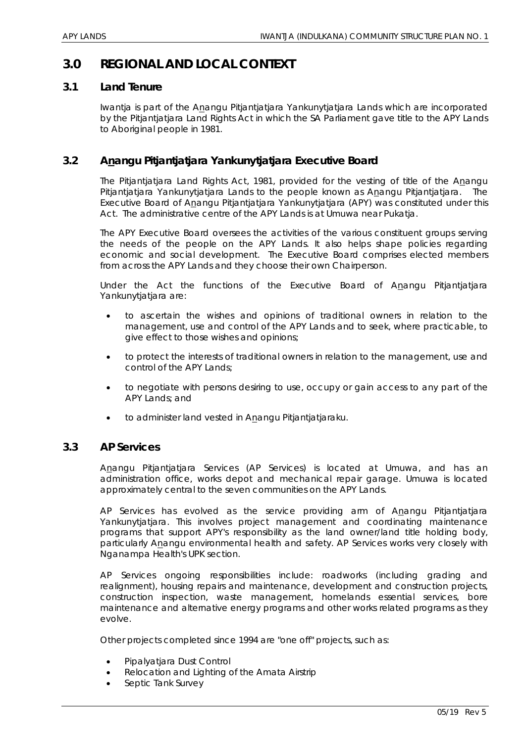# **3.0 REGIONAL AND LOCAL CONTEXT**

#### **3.1 Land Tenure**

Iwantja is part of the Anangu Pitjantjatjara Yankunytjatjara Lands which are incorporated by the Pitjantjatjara Land Rights Act in which the SA Parliament gave title to the APY Lands to Aboriginal people in 1981.

# **3.2 Anangu Pitjantjatjara Yankunytjatjara Executive Board**

The Pitjantjatjara Land Rights Act, 1981, provided for the vesting of title of the Anangu Pitjantjatjara Yankunytjatjara Lands to the people known as Anangu Pitjantjatjara. The Executive Board of Anangu Pitjantjatjara Yankunytjatjara (APY) was constituted under this Act. The administrative centre of the APY Lands is at Umuwa near Pukatja.

The APY Executive Board oversees the activities of the various constituent groups serving the needs of the people on the APY Lands. It also helps shape policies regarding economic and social development. The Executive Board comprises elected members from across the APY Lands and they choose their own Chairperson.

Under the Act the functions of the Executive Board of Anangu Pitjantjatjara Yankunytjatjara are:

- to ascertain the wishes and opinions of traditional owners in relation to the management, use and control of the APY Lands and to seek, where practicable, to give effect to those wishes and opinions;
- to protect the interests of traditional owners in relation to the management, use and control of the APY Lands;
- to negotiate with persons desiring to use, occupy or gain access to any part of the APY Lands; and
- to administer land vested in Anangu Pitjantjatjaraku.

#### **3.3 AP Services**

Anangu Pitjantjatjara Services (AP Services) is located at Umuwa, and has an administration office, works depot and mechanical repair garage. Umuwa is located approximately central to the seven communities on the APY Lands.

AP Services has evolved as the service providing arm of Anangu Pitjantjatjara Yankunytjatjara. This involves project management and coordinating maintenance programs that support APY's responsibility as the land owner/land title holding body, particularly Anangu environmental health and safety. AP Services works very closely with Nganampa Health's UPK section.

AP Services ongoing responsibilities include: roadworks (including grading and realignment), housing repairs and maintenance, development and construction projects, construction inspection, waste management, homelands essential services, bore maintenance and alternative energy programs and other works related programs as they evolve.

Other projects completed since 1994 are "one off" projects, such as:

- Pipalyatjara Dust Control
- Relocation and Lighting of the Amata Airstrip
- Septic Tank Survey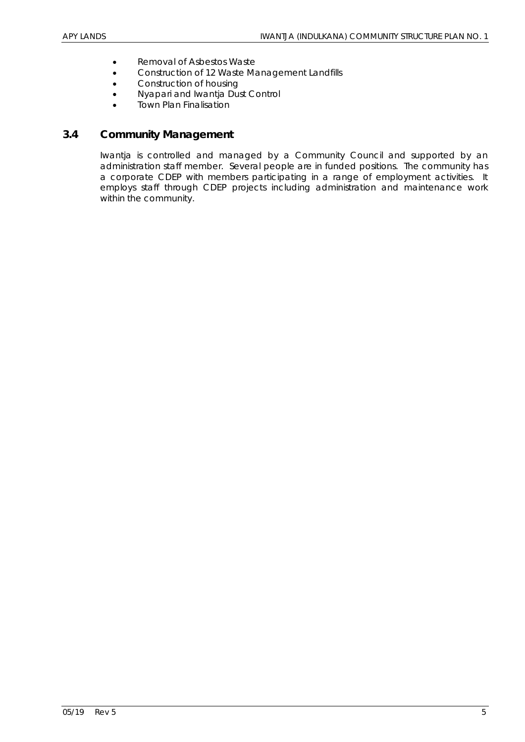- Removal of Asbestos Waste
- Construction of 12 Waste Management Landfills
- Construction of housing
- Nyapari and Iwantia Dust Control
- Town Plan Finalisation

# **3.4 Community Management**

Iwantja is controlled and managed by a Community Council and supported by an administration staff member. Several people are in funded positions. The community has a corporate CDEP with members participating in a range of employment activities. It employs staff through CDEP projects including administration and maintenance work within the community.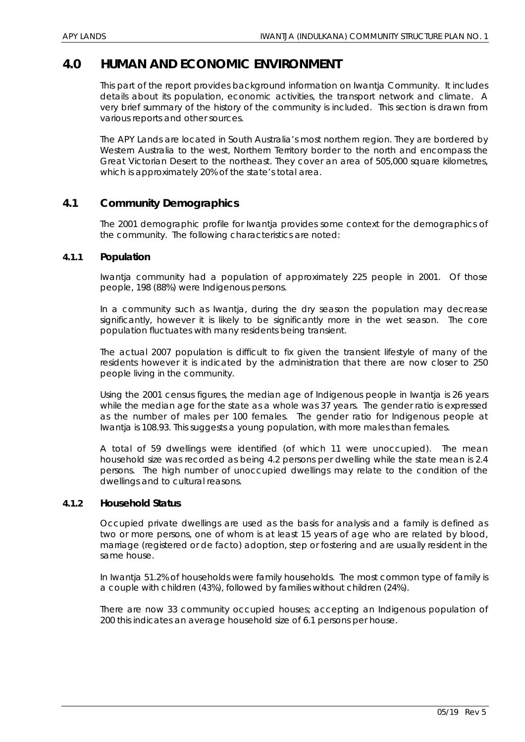# **4.0 HUMAN AND ECONOMIC ENVIRONMENT**

This part of the report provides background information on Iwantja Community. It includes details about its population, economic activities, the transport network and climate. A very brief summary of the history of the community is included. This section is drawn from various reports and other sources.

The APY Lands are located in South Australia's most northern region. They are bordered by Western Australia to the west, Northern Territory border to the north and encompass the Great Victorian Desert to the northeast. They cover an area of 505,000 square kilometres, which is approximately 20% of the state's total area.

# **4.1 Community Demographics**

The 2001 demographic profile for Iwantja provides some context for the demographics of the community. The following characteristics are noted:

#### *4.1.1 Population*

Iwantja community had a population of approximately 225 people in 2001. Of those people, 198 (88%) were Indigenous persons.

In a community such as Iwantja, during the dry season the population may decrease significantly, however it is likely to be significantly more in the wet season. The core population fluctuates with many residents being transient.

The actual 2007 population is difficult to fix given the transient lifestyle of many of the residents however it is indicated by the administration that there are now closer to 250 people living in the community.

Using the 2001 census figures, the median age of Indigenous people in Iwantja is 26 years while the median age for the state as a whole was 37 years. The gender ratio is expressed as the number of males per 100 females. The gender ratio for Indigenous people at Iwantja is 108.93. This suggests a young population, with more males than females.

A total of 59 dwellings were identified (of which 11 were unoccupied). The mean household size was recorded as being 4.2 persons per dwelling while the state mean is 2.4 persons. The high number of unoccupied dwellings may relate to the condition of the dwellings and to cultural reasons.

#### *4.1.2 Household Status*

Occupied private dwellings are used as the basis for analysis and a family is defined as two or more persons, one of whom is at least 15 years of age who are related by blood, marriage (registered or de facto) adoption, step or fostering and are usually resident in the same house.

In Iwantja 51.2% of households were family households. The most common type of family is a couple with children (43%), followed by families without children (24%).

There are now 33 community occupied houses; accepting an Indigenous population of 200 this indicates an average household size of 6.1 persons per house.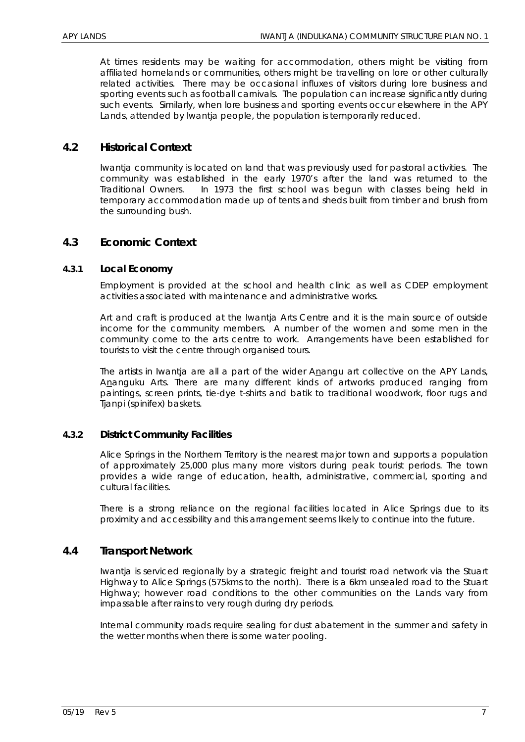At times residents may be waiting for accommodation, others might be visiting from affiliated homelands or communities, others might be travelling on lore or other culturally related activities. There may be occasional influxes of visitors during lore business and sporting events such as football carnivals. The population can increase significantly during such events. Similarly, when lore business and sporting events occur elsewhere in the APY Lands, attended by Iwantja people, the population is temporarily reduced.

# **4.2 Historical Context**

Iwantja community is located on land that was previously used for pastoral activities. The community was established in the early 1970's after the land was returned to the Traditional Owners. In 1973 the first school was begun with classes being held in temporary accommodation made up of tents and sheds built from timber and brush from the surrounding bush.

## **4.3 Economic Context**

#### *4.3.1 Local Economy*

Employment is provided at the school and health clinic as well as CDEP employment activities associated with maintenance and administrative works.

Art and craft is produced at the Iwantja Arts Centre and it is the main source of outside income for the community members. A number of the women and some men in the community come to the arts centre to work. Arrangements have been established for tourists to visit the centre through organised tours.

The artists in Iwantja are all a part of the wider Anangu art collective on the APY Lands, Ananguku Arts. There are many different kinds of artworks produced ranging from paintings, screen prints, tie-dye t-shirts and batik to traditional woodwork, floor rugs and Tjanpi (spinifex) baskets.

#### *4.3.2 District Community Facilities*

Alice Springs in the Northern Territory is the nearest major town and supports a population of approximately 25,000 plus many more visitors during peak tourist periods. The town provides a wide range of education, health, administrative, commercial, sporting and cultural facilities.

There is a strong reliance on the regional facilities located in Alice Springs due to its proximity and accessibility and this arrangement seems likely to continue into the future.

#### **4.4 Transport Network**

Iwantja is serviced regionally by a strategic freight and tourist road network via the Stuart Highway to Alice Springs (575kms to the north). There is a 6km unsealed road to the Stuart Highway; however road conditions to the other communities on the Lands vary from impassable after rains to very rough during dry periods.

Internal community roads require sealing for dust abatement in the summer and safety in the wetter months when there is some water pooling.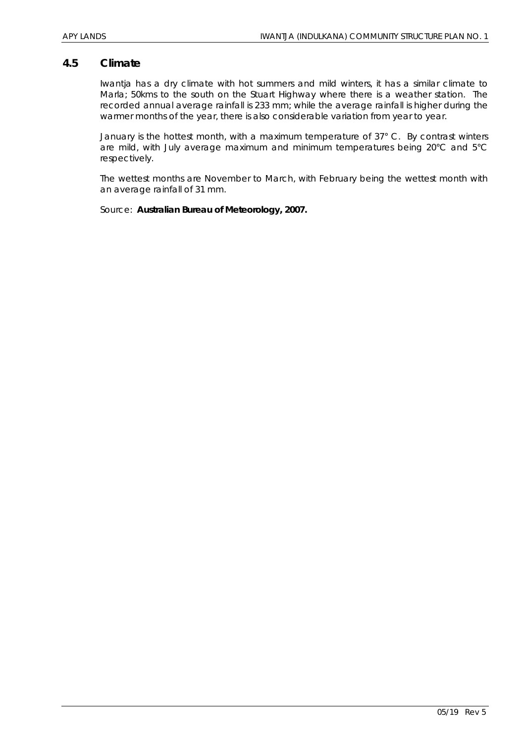#### **4.5 Climate**

Iwantja has a dry climate with hot summers and mild winters, it has a similar climate to Marla; 50kms to the south on the Stuart Highway where there is a weather station. The recorded annual average rainfall is 233 mm; while the average rainfall is higher during the warmer months of the year, there is also considerable variation from year to year.

January is the hottest month, with a maximum temperature of 37° C. By contrast winters are mild, with July average maximum and minimum temperatures being 20°C and 5°C respectively.

The wettest months are November to March, with February being the wettest month with an average rainfall of 31 mm.

Source: *Australian Bureau of Meteorology, 2007.*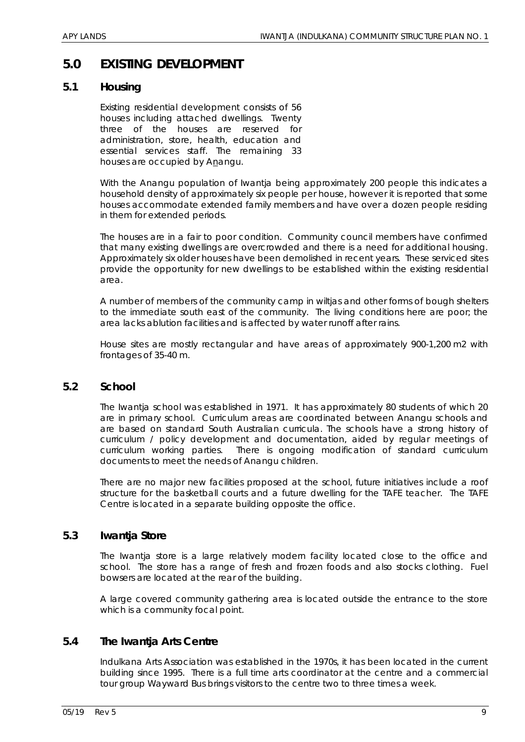# **5.0 EXISTING DEVELOPMENT**

## **5.1 Housing**

Existing residential development consists of 56 houses including attached dwellings. Twenty three of the houses are reserved for administration, store, health, education and essential services staff. The remaining 33 houses are occupied by Anangu.

With the Anangu population of Iwantja being approximately 200 people this indicates a household density of approximately six people per house, however it is reported that some houses accommodate extended family members and have over a dozen people residing in them for extended periods.

The houses are in a fair to poor condition. Community council members have confirmed that many existing dwellings are overcrowded and there is a need for additional housing. Approximately six older houses have been demolished in recent years. These serviced sites provide the opportunity for new dwellings to be established within the existing residential area.

A number of members of the community camp in wiltjas and other forms of bough shelters to the immediate south east of the community. The living conditions here are poor; the area lacks ablution facilities and is affected by water runoff after rains.

House sites are mostly rectangular and have areas of approximately 900-1,200 m2 with frontages of 35-40 m.

#### **5.2 School**

The Iwantja school was established in 1971. It has approximately 80 students of which 20 are in primary school. Curriculum areas are coordinated between Anangu schools and are based on standard South Australian curricula. The schools have a strong history of curriculum / policy development and documentation, aided by regular meetings of curriculum working parties. There is ongoing modification of standard curriculum documents to meet the needs of Anangu children.

There are no major new facilities proposed at the school, future initiatives include a roof structure for the basketball courts and a future dwelling for the TAFE teacher. The TAFE Centre is located in a separate building opposite the office.

#### **5.3 Iwantja Store**

The Iwantja store is a large relatively modern facility located close to the office and school. The store has a range of fresh and frozen foods and also stocks clothing. Fuel bowsers are located at the rear of the building.

A large covered community gathering area is located outside the entrance to the store which is a community focal point.

# **5.4 The Iwantja Arts Centre**

Indulkana Arts Association was established in the 1970s, it has been located in the current building since 1995. There is a full time arts coordinator at the centre and a commercial tour group Wayward Bus brings visitors to the centre two to three times a week.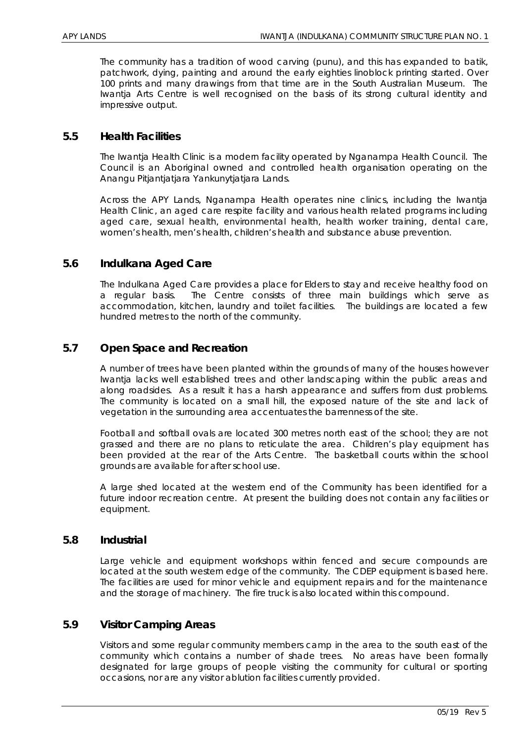The community has a tradition of wood carving (punu), and this has expanded to batik, patchwork, dying, painting and around the early eighties linoblock printing started. Over 100 prints and many drawings from that time are in the South Australian Museum. The Iwantja Arts Centre is well recognised on the basis of its strong cultural identity and impressive output.

#### **5.5 Health Facilities**

The Iwantja Health Clinic is a modern facility operated by Nganampa Health Council. The Council is an Aboriginal owned and controlled health organisation operating on the Anangu Pitjantjatjara Yankunytjatjara Lands.

Across the APY Lands, Nganampa Health operates nine clinics, including the Iwantja Health Clinic, an aged care respite facility and various health related programs including aged care, sexual health, environmental health, health worker training, dental care, women's health, men's health, children's health and substance abuse prevention.

## **5.6 Indulkana Aged Care**

The Indulkana Aged Care provides a place for Elders to stay and receive healthy food on a regular basis. The Centre consists of three main buildings which serve as accommodation, kitchen, laundry and toilet facilities. The buildings are located a few hundred metres to the north of the community.

## **5.7 Open Space and Recreation**

A number of trees have been planted within the grounds of many of the houses however Iwantja lacks well established trees and other landscaping within the public areas and along roadsides. As a result it has a harsh appearance and suffers from dust problems. The community is located on a small hill, the exposed nature of the site and lack of vegetation in the surrounding area accentuates the barrenness of the site.

Football and softball ovals are located 300 metres north east of the school; they are not grassed and there are no plans to reticulate the area. Children's play equipment has been provided at the rear of the Arts Centre. The basketball courts within the school grounds are available for after school use.

A large shed located at the western end of the Community has been identified for a future indoor recreation centre. At present the building does not contain any facilities or equipment.

#### **5.8 Industrial**

Large vehicle and equipment workshops within fenced and secure compounds are located at the south western edge of the community. The CDEP equipment is based here. The facilities are used for minor vehicle and equipment repairs and for the maintenance and the storage of machinery. The fire truck is also located within this compound.

#### **5.9 Visitor Camping Areas**

Visitors and some regular community members camp in the area to the south east of the community which contains a number of shade trees. No areas have been formally designated for large groups of people visiting the community for cultural or sporting occasions, nor are any visitor ablution facilities currently provided.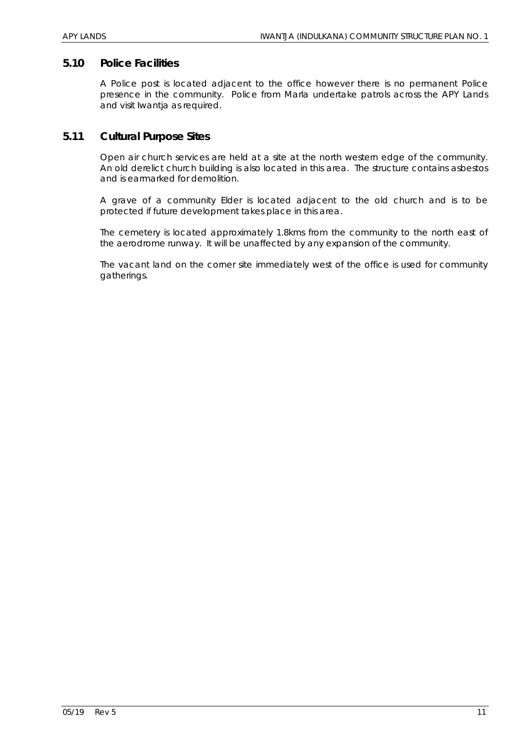## **5.10 Police Facilities**

A Police post is located adjacent to the office however there is no permanent Police presence in the community. Police from Marla undertake patrols across the APY Lands and visit Iwantja as required.

## **5.11 Cultural Purpose Sites**

Open air church services are held at a site at the north western edge of the community. An old derelict church building is also located in this area. The structure contains asbestos and is earmarked for demolition.

A grave of a community Elder is located adjacent to the old church and is to be protected if future development takes place in this area.

The cemetery is located approximately 1.8kms from the community to the north east of the aerodrome runway. It will be unaffected by any expansion of the community.

The vacant land on the corner site immediately west of the office is used for community gatherings.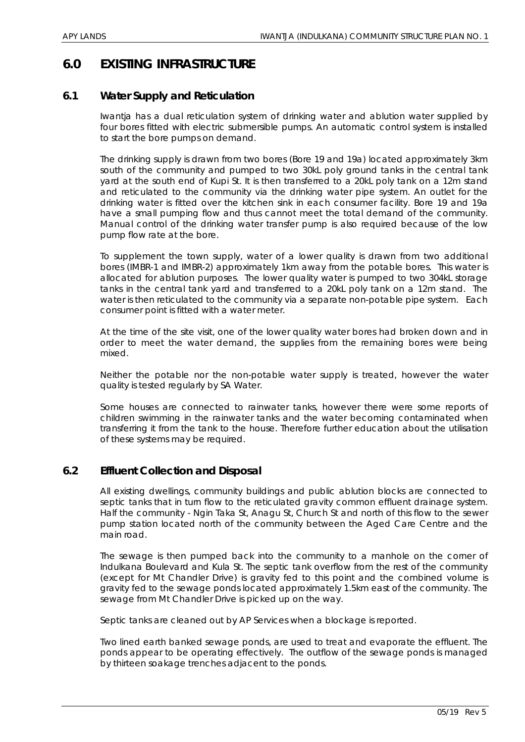# **6.0 EXISTING INFRASTRUCTURE**

# **6.1 Water Supply and Reticulation**

Iwantja has a dual reticulation system of drinking water and ablution water supplied by four bores fitted with electric submersible pumps. An automatic control system is installed to start the bore pumps on demand.

The drinking supply is drawn from two bores (Bore 19 and 19a) located approximately 3km south of the community and pumped to two 30kL poly ground tanks in the central tank yard at the south end of Kupi St. It is then transferred to a 20kL poly tank on a 12m stand and reticulated to the community via the drinking water pipe system. An outlet for the drinking water is fitted over the kitchen sink in each consumer facility. Bore 19 and 19a have a small pumping flow and thus cannot meet the total demand of the community. Manual control of the drinking water transfer pump is also required because of the low pump flow rate at the bore.

To supplement the town supply, water of a lower quality is drawn from two additional bores (IMBR-1 and IMBR-2) approximately 1km away from the potable bores. This water is allocated for ablution purposes. The lower quality water is pumped to two 304kL storage tanks in the central tank yard and transferred to a 20kL poly tank on a 12m stand. The water is then reticulated to the community via a separate non-potable pipe system. Each consumer point is fitted with a water meter.

At the time of the site visit, one of the lower quality water bores had broken down and in order to meet the water demand, the supplies from the remaining bores were being mixed.

Neither the potable nor the non-potable water supply is treated, however the water quality is tested regularly by SA Water.

Some houses are connected to rainwater tanks, however there were some reports of children swimming in the rainwater tanks and the water becoming contaminated when transferring it from the tank to the house. Therefore further education about the utilisation of these systems may be required.

#### **6.2 Effluent Collection and Disposal**

All existing dwellings, community buildings and public ablution blocks are connected to septic tanks that in turn flow to the reticulated gravity common effluent drainage system. Half the community - Ngin Taka St, Anagu St, Church St and north of this flow to the sewer pump station located north of the community between the Aged Care Centre and the main road.

The sewage is then pumped back into the community to a manhole on the corner of Indulkana Boulevard and Kula St. The septic tank overflow from the rest of the community (except for Mt Chandler Drive) is gravity fed to this point and the combined volume is gravity fed to the sewage ponds located approximately 1.5km east of the community. The sewage from Mt Chandler Drive is picked up on the way.

Septic tanks are cleaned out by AP Services when a blockage is reported.

Two lined earth banked sewage ponds, are used to treat and evaporate the effluent. The ponds appear to be operating effectively. The outflow of the sewage ponds is managed by thirteen soakage trenches adjacent to the ponds.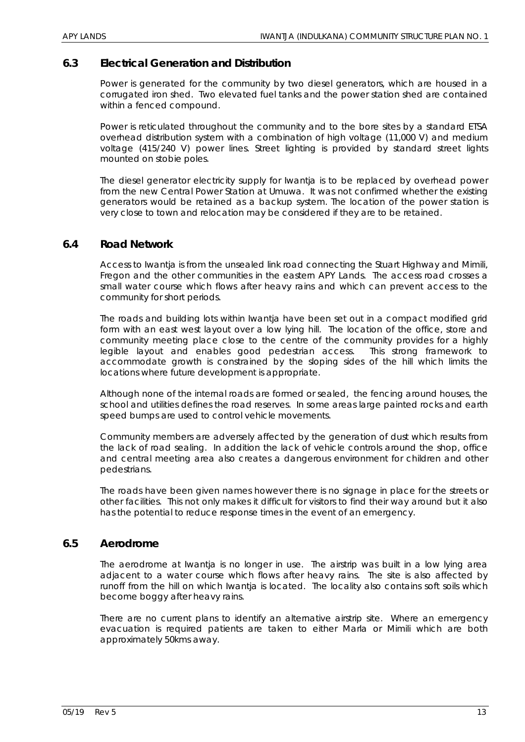# **6.3 Electrical Generation and Distribution**

Power is generated for the community by two diesel generators, which are housed in a corrugated iron shed. Two elevated fuel tanks and the power station shed are contained within a fenced compound.

Power is reticulated throughout the community and to the bore sites by a standard ETSA overhead distribution system with a combination of high voltage (11,000 V) and medium voltage (415/240 V) power lines. Street lighting is provided by standard street lights mounted on stobie poles.

The diesel generator electricity supply for Iwantja is to be replaced by overhead power from the new Central Power Station at Umuwa. It was not confirmed whether the existing generators would be retained as a backup system. The location of the power station is very close to town and relocation may be considered if they are to be retained.

#### **6.4 Road Network**

Access to Iwantja is from the unsealed link road connecting the Stuart Highway and Mimili, Fregon and the other communities in the eastern APY Lands. The access road crosses a small water course which flows after heavy rains and which can prevent access to the community for short periods.

The roads and building lots within Iwantja have been set out in a compact modified grid form with an east west layout over a low lying hill. The location of the office, store and community meeting place close to the centre of the community provides for a highly legible layout and enables good pedestrian access. This strong framework to accommodate growth is constrained by the sloping sides of the hill which limits the locations where future development is appropriate.

Although none of the internal roads are formed or sealed, the fencing around houses, the school and utilities defines the road reserves. In some areas large painted rocks and earth speed bumps are used to control vehicle movements.

Community members are adversely affected by the generation of dust which results from the lack of road sealing. In addition the lack of vehicle controls around the shop, office and central meeting area also creates a dangerous environment for children and other pedestrians.

The roads have been given names however there is no signage in place for the streets or other facilities. This not only makes it difficult for visitors to find their way around but it also has the potential to reduce response times in the event of an emergency.

# **6.5 Aerodrome**

The aerodrome at Iwantja is no longer in use. The airstrip was built in a low lying area adjacent to a water course which flows after heavy rains. The site is also affected by runoff from the hill on which Iwantja is located. The locality also contains soft soils which become boggy after heavy rains.

There are no current plans to identify an alternative airstrip site. Where an emergency evacuation is required patients are taken to either Marla or Mimili which are both approximately 50kms away.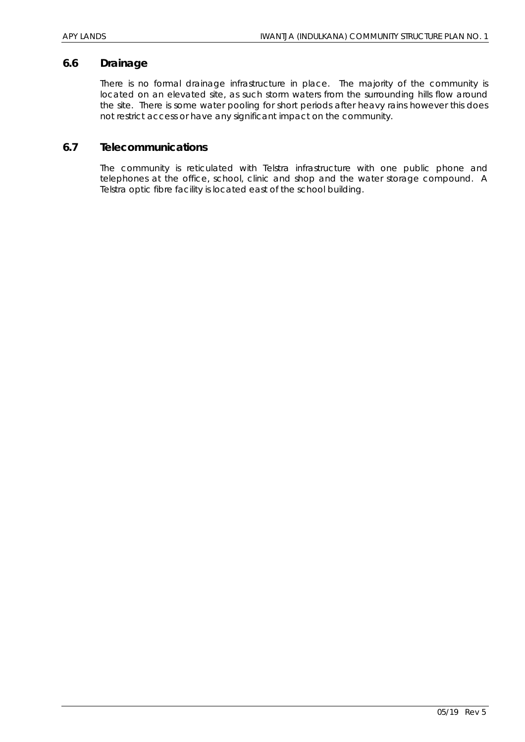#### **6.6 Drainage**

There is no formal drainage infrastructure in place. The majority of the community is located on an elevated site, as such storm waters from the surrounding hills flow around the site. There is some water pooling for short periods after heavy rains however this does not restrict access or have any significant impact on the community.

## **6.7 Telecommunications**

The community is reticulated with Telstra infrastructure with one public phone and telephones at the office, school, clinic and shop and the water storage compound. A Telstra optic fibre facility is located east of the school building.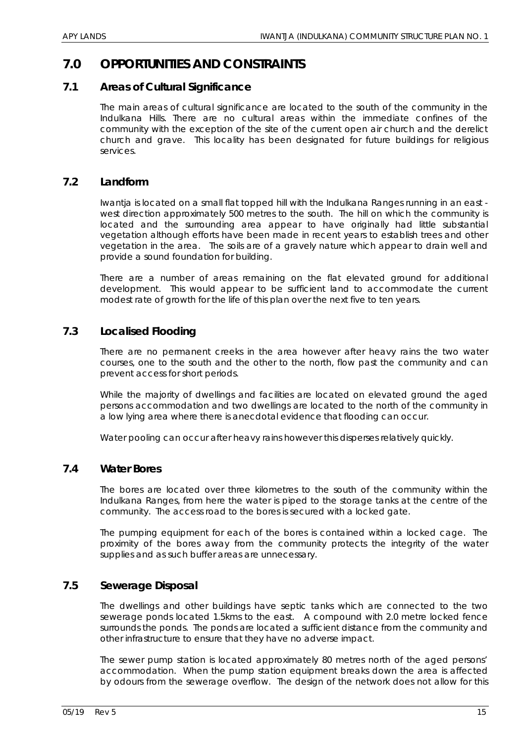# **7.0 OPPORTUNITIES AND CONSTRAINTS**

# **7.1 Areas of Cultural Significance**

The main areas of cultural significance are located to the south of the community in the Indulkana Hills. There are no cultural areas within the immediate confines of the community with the exception of the site of the current open air church and the derelict church and grave. This locality has been designated for future buildings for religious services.

## **7.2 Landform**

Iwantja is located on a small flat topped hill with the Indulkana Ranges running in an east west direction approximately 500 metres to the south. The hill on which the community is located and the surrounding area appear to have originally had little substantial vegetation although efforts have been made in recent years to establish trees and other vegetation in the area. The soils are of a gravely nature which appear to drain well and provide a sound foundation for building.

There are a number of areas remaining on the flat elevated ground for additional development. This would appear to be sufficient land to accommodate the current modest rate of growth for the life of this plan over the next five to ten years.

# **7.3 Localised Flooding**

There are no permanent creeks in the area however after heavy rains the two water courses, one to the south and the other to the north, flow past the community and can prevent access for short periods.

While the majority of dwellings and facilities are located on elevated ground the aged persons accommodation and two dwellings are located to the north of the community in a low lying area where there is anecdotal evidence that flooding can occur.

Water pooling can occur after heavy rains however this disperses relatively quickly.

# **7.4 Water Bores**

The bores are located over three kilometres to the south of the community within the Indulkana Ranges, from here the water is piped to the storage tanks at the centre of the community. The access road to the bores is secured with a locked gate.

The pumping equipment for each of the bores is contained within a locked cage. The proximity of the bores away from the community protects the integrity of the water supplies and as such buffer areas are unnecessary.

#### **7.5 Sewerage Disposal**

The dwellings and other buildings have septic tanks which are connected to the two sewerage ponds located 1.5kms to the east. A compound with 2.0 metre locked fence surrounds the ponds. The ponds are located a sufficient distance from the community and other infrastructure to ensure that they have no adverse impact.

The sewer pump station is located approximately 80 metres north of the aged persons' accommodation. When the pump station equipment breaks down the area is affected by odours from the sewerage overflow. The design of the network does not allow for this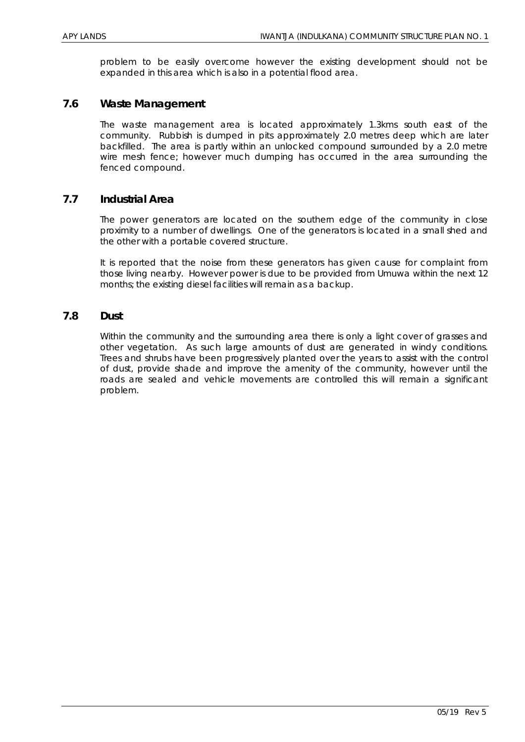problem to be easily overcome however the existing development should not be expanded in this area which is also in a potential flood area.

### **7.6 Waste Management**

The waste management area is located approximately 1.3kms south east of the community. Rubbish is dumped in pits approximately 2.0 metres deep which are later backfilled. The area is partly within an unlocked compound surrounded by a 2.0 metre wire mesh fence; however much dumping has occurred in the area surrounding the fenced compound.

#### **7.7 Industrial Area**

The power generators are located on the southern edge of the community in close proximity to a number of dwellings. One of the generators is located in a small shed and the other with a portable covered structure.

It is reported that the noise from these generators has given cause for complaint from those living nearby. However power is due to be provided from Umuwa within the next 12 months; the existing diesel facilities will remain as a backup.

#### **7.8 Dust**

Within the community and the surrounding area there is only a light cover of grasses and other vegetation. As such large amounts of dust are generated in windy conditions. Trees and shrubs have been progressively planted over the years to assist with the control of dust, provide shade and improve the amenity of the community, however until the roads are sealed and vehicle movements are controlled this will remain a significant problem.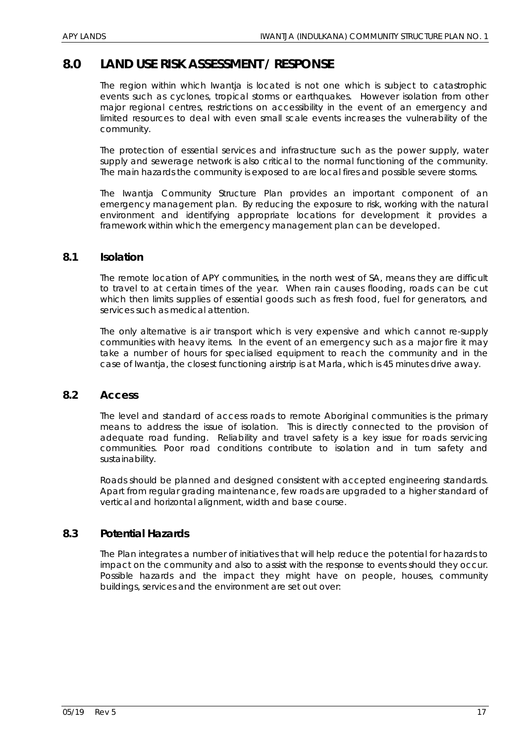# **8.0 LAND USE RISK ASSESSMENT / RESPONSE**

The region within which Iwantja is located is not one which is subject to catastrophic events such as cyclones, tropical storms or earthquakes. However isolation from other major regional centres, restrictions on accessibility in the event of an emergency and limited resources to deal with even small scale events increases the vulnerability of the community.

The protection of essential services and infrastructure such as the power supply, water supply and sewerage network is also critical to the normal functioning of the community. The main hazards the community is exposed to are local fires and possible severe storms.

The Iwantja Community Structure Plan provides an important component of an emergency management plan. By reducing the exposure to risk, working with the natural environment and identifying appropriate locations for development it provides a framework within which the emergency management plan can be developed.

#### **8.1 Isolation**

The remote location of APY communities, in the north west of SA, means they are difficult to travel to at certain times of the year. When rain causes flooding, roads can be cut which then limits supplies of essential goods such as fresh food, fuel for generators, and services such as medical attention.

The only alternative is air transport which is very expensive and which cannot re-supply communities with heavy items. In the event of an emergency such as a major fire it may take a number of hours for specialised equipment to reach the community and in the case of Iwantja, the closest functioning airstrip is at Marla, which is 45 minutes drive away.

#### **8.2 Access**

The level and standard of access roads to remote Aboriginal communities is the primary means to address the issue of isolation. This is directly connected to the provision of adequate road funding. Reliability and travel safety is a key issue for roads servicing communities. Poor road conditions contribute to isolation and in turn safety and sustainability.

Roads should be planned and designed consistent with accepted engineering standards. Apart from regular grading maintenance, few roads are upgraded to a higher standard of vertical and horizontal alignment, width and base course.

#### **8.3 Potential Hazards**

The Plan integrates a number of initiatives that will help reduce the potential for hazards to impact on the community and also to assist with the response to events should they occur. Possible hazards and the impact they might have on people, houses, community buildings, services and the environment are set out over: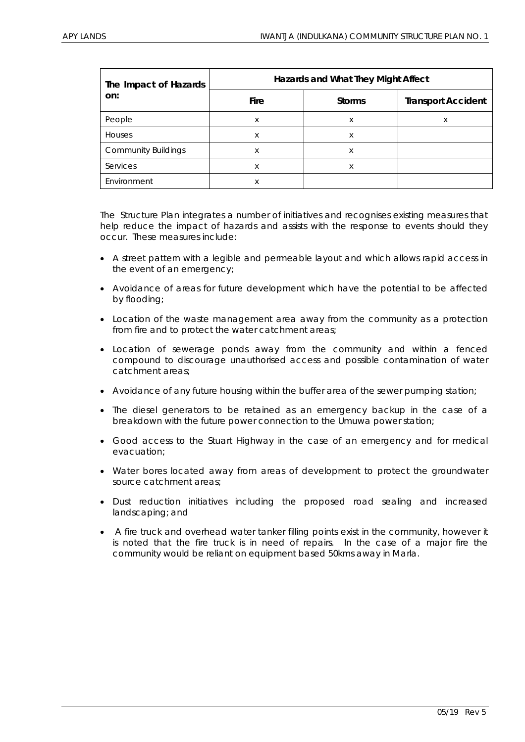| The Impact of Hazards      | Hazards and What They Might Affect |               |                           |  |
|----------------------------|------------------------------------|---------------|---------------------------|--|
| on:                        | <b>Fire</b>                        | <b>Storms</b> | <b>Transport Accident</b> |  |
| People                     | X                                  | X             | X                         |  |
| Houses                     | X                                  | X             |                           |  |
| <b>Community Buildings</b> | X                                  | X             |                           |  |
| Services                   | X                                  | X             |                           |  |
| Environment                | X                                  |               |                           |  |

The Structure Plan integrates a number of initiatives and recognises existing measures that help reduce the impact of hazards and assists with the response to events should they occur. These measures include:

- A street pattern with a legible and permeable layout and which allows rapid access in the event of an emergency;
- Avoidance of areas for future development which have the potential to be affected by flooding;
- Location of the waste management area away from the community as a protection from fire and to protect the water catchment areas;
- Location of sewerage ponds away from the community and within a fenced compound to discourage unauthorised access and possible contamination of water catchment areas;
- Avoidance of any future housing within the buffer area of the sewer pumping station;
- The diesel generators to be retained as an emergency backup in the case of a breakdown with the future power connection to the Umuwa power station;
- Good access to the Stuart Highway in the case of an emergency and for medical evacuation;
- Water bores located away from areas of development to protect the groundwater source catchment areas;
- Dust reduction initiatives including the proposed road sealing and increased landscaping; and
- A fire truck and overhead water tanker filling points exist in the community, however it is noted that the fire truck is in need of repairs. In the case of a major fire the community would be reliant on equipment based 50kms away in Marla.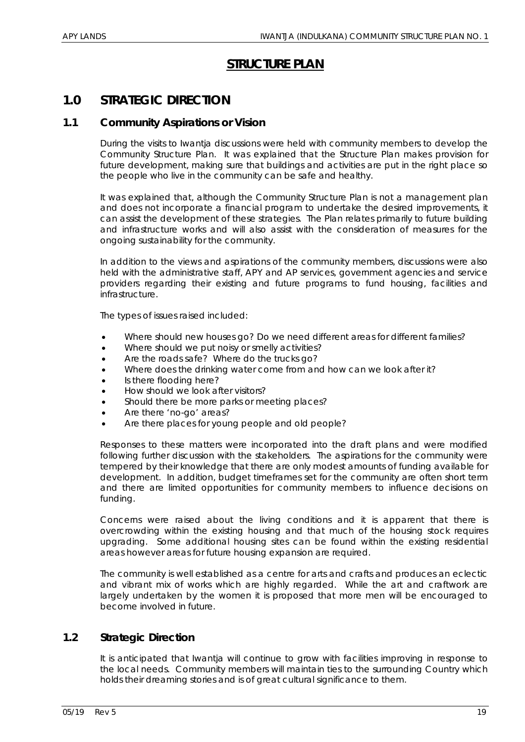# **STRUCTURE PLAN**

# **1.0 STRATEGIC DIRECTION**

# **1.1 Community Aspirations or Vision**

During the visits to Iwantja discussions were held with community members to develop the Community Structure Plan. It was explained that the Structure Plan makes provision for future development, making sure that buildings and activities are put in the right place so the people who live in the community can be safe and healthy.

It was explained that, although the Community Structure Plan is not a management plan and does not incorporate a financial program to undertake the desired improvements, it can assist the development of these strategies. The Plan relates primarily to future building and infrastructure works and will also assist with the consideration of measures for the ongoing sustainability for the community.

In addition to the views and aspirations of the community members, discussions were also held with the administrative staff, APY and AP services, government agencies and service providers regarding their existing and future programs to fund housing, facilities and infrastructure.

The types of issues raised included:

- Where should new houses go? Do we need different areas for different families?
- Where should we put noisy or smelly activities?
- Are the roads safe? Where do the trucks go?
- Where does the drinking water come from and how can we look after it?
- Is there flooding here?
- How should we look after visitors?
- Should there be more parks or meeting places?
- Are there 'no-go' areas?
- Are there places for young people and old people?

Responses to these matters were incorporated into the draft plans and were modified following further discussion with the stakeholders. The aspirations for the community were tempered by their knowledge that there are only modest amounts of funding available for development. In addition, budget timeframes set for the community are often short term and there are limited opportunities for community members to influence decisions on funding.

Concerns were raised about the living conditions and it is apparent that there is overcrowding within the existing housing and that much of the housing stock requires upgrading. Some additional housing sites can be found within the existing residential areas however areas for future housing expansion are required.

The community is well established as a centre for arts and crafts and produces an eclectic and vibrant mix of works which are highly regarded. While the art and craftwork are largely undertaken by the women it is proposed that more men will be encouraged to become involved in future.

# **1.2 Strategic Direction**

It is anticipated that Iwantja will continue to grow with facilities improving in response to the local needs. Community members will maintain ties to the surrounding Country which holds their dreaming stories and is of great cultural significance to them.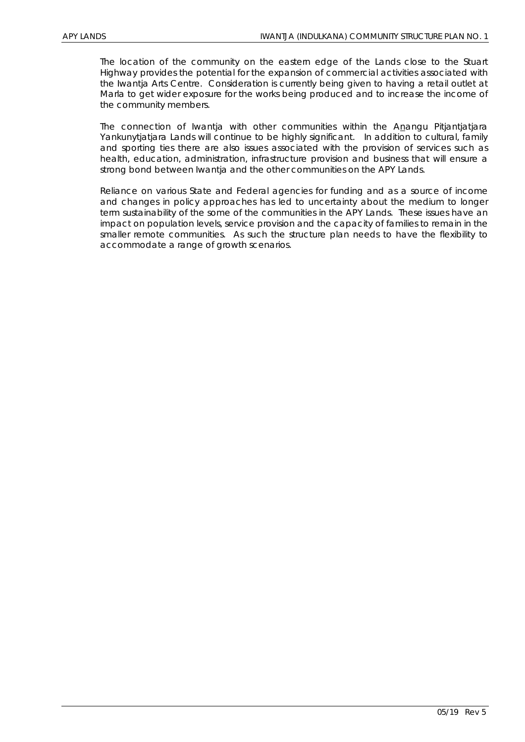The location of the community on the eastern edge of the Lands close to the Stuart Highway provides the potential for the expansion of commercial activities associated with the Iwantja Arts Centre. Consideration is currently being given to having a retail outlet at Marla to get wider exposure for the works being produced and to increase the income of the community members.

The connection of Iwantja with other communities within the Anangu Pitjantjatjara Yankunytjatjara Lands will continue to be highly significant. In addition to cultural, family and sporting ties there are also issues associated with the provision of services such as health, education, administration, infrastructure provision and business that will ensure a strong bond between Iwantja and the other communities on the APY Lands.

Reliance on various State and Federal agencies for funding and as a source of income and changes in policy approaches has led to uncertainty about the medium to longer term sustainability of the some of the communities in the APY Lands. These issues have an impact on population levels, service provision and the capacity of families to remain in the smaller remote communities. As such the structure plan needs to have the flexibility to accommodate a range of growth scenarios.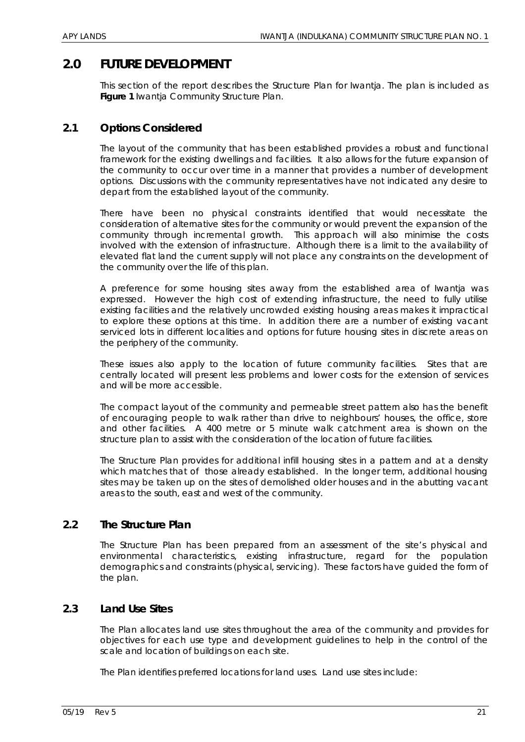# **2.0 FUTURE DEVELOPMENT**

This section of the report describes the Structure Plan for Iwantja. The plan is included as **Figure 1** Iwantja Community Structure Plan.

# **2.1 Options Considered**

The layout of the community that has been established provides a robust and functional framework for the existing dwellings and facilities. It also allows for the future expansion of the community to occur over time in a manner that provides a number of development options. Discussions with the community representatives have not indicated any desire to depart from the established layout of the community.

There have been no physical constraints identified that would necessitate the consideration of alternative sites for the community or would prevent the expansion of the community through incremental growth. This approach will also minimise the costs involved with the extension of infrastructure. Although there is a limit to the availability of elevated flat land the current supply will not place any constraints on the development of the community over the life of this plan.

A preference for some housing sites away from the established area of Iwantja was expressed. However the high cost of extending infrastructure, the need to fully utilise existing facilities and the relatively uncrowded existing housing areas makes it impractical to explore these options at this time. In addition there are a number of existing vacant serviced lots in different localities and options for future housing sites in discrete areas on the periphery of the community.

These issues also apply to the location of future community facilities. Sites that are centrally located will present less problems and lower costs for the extension of services and will be more accessible.

The compact layout of the community and permeable street pattern also has the benefit of encouraging people to walk rather than drive to neighbours' houses, the office, store and other facilities. A 400 metre or 5 minute walk catchment area is shown on the structure plan to assist with the consideration of the location of future facilities.

The Structure Plan provides for additional infill housing sites in a pattern and at a density which matches that of those already established. In the longer term, additional housing sites may be taken up on the sites of demolished older houses and in the abutting vacant areas to the south, east and west of the community.

# **2.2 The Structure Plan**

The Structure Plan has been prepared from an assessment of the site's physical and environmental characteristics, existing infrastructure, regard for the population demographics and constraints (physical, servicing). These factors have guided the form of the plan.

#### **2.3 Land Use Sites**

The Plan allocates land use sites throughout the area of the community and provides for objectives for each use type and development guidelines to help in the control of the scale and location of buildings on each site.

The Plan identifies preferred locations for land uses. Land use sites include: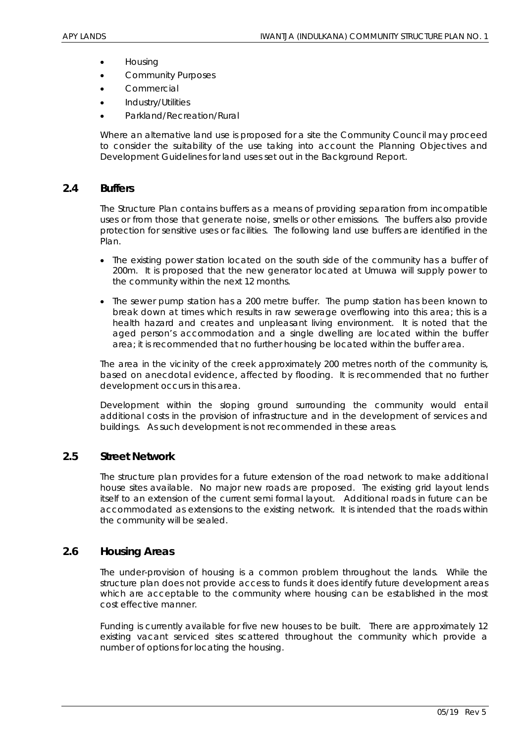- Housing
- Community Purposes
- **Commercial**
- Industry/Utilities
- Parkland/Recreation/Rural

Where an alternative land use is proposed for a site the Community Council may proceed to consider the suitability of the use taking into account the Planning Objectives and Development Guidelines for land uses set out in the Background Report.

## **2.4 Buffers**

The Structure Plan contains buffers as a means of providing separation from incompatible uses or from those that generate noise, smells or other emissions. The buffers also provide protection for sensitive uses or facilities. The following land use buffers are identified in the Plan.

- The existing power station located on the south side of the community has a buffer of 200m. It is proposed that the new generator located at Umuwa will supply power to the community within the next 12 months.
- The sewer pump station has a 200 metre buffer. The pump station has been known to break down at times which results in raw sewerage overflowing into this area; this is a health hazard and creates and unpleasant living environment. It is noted that the aged person's accommodation and a single dwelling are located within the buffer area; it is recommended that no further housing be located within the buffer area.

The area in the vicinity of the creek approximately 200 metres north of the community is, based on anecdotal evidence, affected by flooding. It is recommended that no further development occurs in this area.

Development within the sloping ground surrounding the community would entail additional costs in the provision of infrastructure and in the development of services and buildings. As such development is not recommended in these areas.

#### **2.5 Street Network**

The structure plan provides for a future extension of the road network to make additional house sites available. No major new roads are proposed. The existing grid layout lends itself to an extension of the current semi formal layout. Additional roads in future can be accommodated as extensions to the existing network. It is intended that the roads within the community will be sealed.

#### **2.6 Housing Areas**

The under-provision of housing is a common problem throughout the lands. While the structure plan does not provide access to funds it does identify future development areas which are acceptable to the community where housing can be established in the most cost effective manner.

Funding is currently available for five new houses to be built. There are approximately 12 existing vacant serviced sites scattered throughout the community which provide a number of options for locating the housing.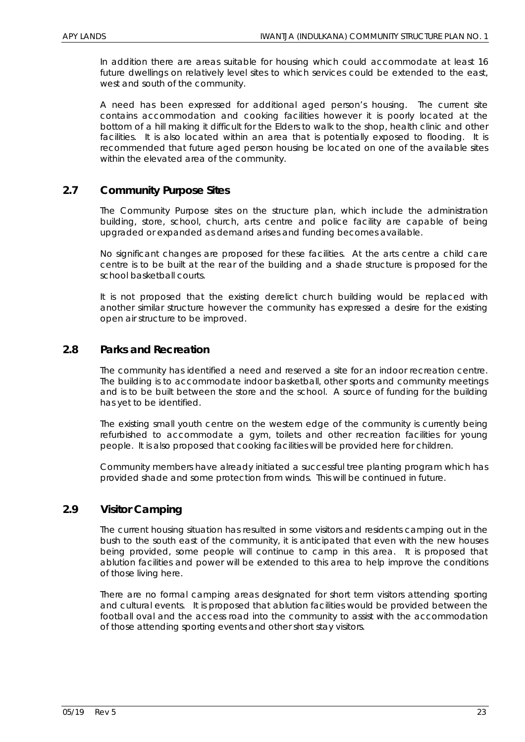In addition there are areas suitable for housing which could accommodate at least 16 future dwellings on relatively level sites to which services could be extended to the east, west and south of the community.

A need has been expressed for additional aged person's housing. The current site contains accommodation and cooking facilities however it is poorly located at the bottom of a hill making it difficult for the Elders to walk to the shop, health clinic and other facilities. It is also located within an area that is potentially exposed to flooding. It is recommended that future aged person housing be located on one of the available sites within the elevated area of the community.

# **2.7 Community Purpose Sites**

The Community Purpose sites on the structure plan, which include the administration building, store, school, church, arts centre and police facility are capable of being upgraded or expanded as demand arises and funding becomes available.

No significant changes are proposed for these facilities. At the arts centre a child care centre is to be built at the rear of the building and a shade structure is proposed for the school basketball courts.

It is not proposed that the existing derelict church building would be replaced with another similar structure however the community has expressed a desire for the existing open air structure to be improved.

# **2.8 Parks and Recreation**

The community has identified a need and reserved a site for an indoor recreation centre. The building is to accommodate indoor basketball, other sports and community meetings and is to be built between the store and the school. A source of funding for the building has yet to be identified.

The existing small youth centre on the western edge of the community is currently being refurbished to accommodate a gym, toilets and other recreation facilities for young people. It is also proposed that cooking facilities will be provided here for children.

Community members have already initiated a successful tree planting program which has provided shade and some protection from winds. This will be continued in future.

# **2.9 Visitor Camping**

The current housing situation has resulted in some visitors and residents camping out in the bush to the south east of the community, it is anticipated that even with the new houses being provided, some people will continue to camp in this area. It is proposed that ablution facilities and power will be extended to this area to help improve the conditions of those living here.

There are no formal camping areas designated for short term visitors attending sporting and cultural events. It is proposed that ablution facilities would be provided between the football oval and the access road into the community to assist with the accommodation of those attending sporting events and other short stay visitors.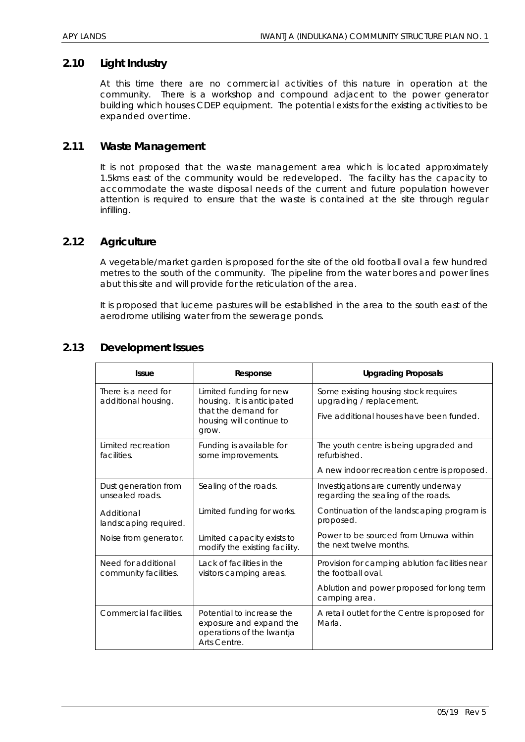#### **2.10 Light Industry**

At this time there are no commercial activities of this nature in operation at the community. There is a workshop and compound adjacent to the power generator building which houses CDEP equipment. The potential exists for the existing activities to be expanded over time.

## **2.11 Waste Management**

It is not proposed that the waste management area which is located approximately 1.5kms east of the community would be redeveloped. The facility has the capacity to accommodate the waste disposal needs of the current and future population however attention is required to ensure that the waste is contained at the site through regular infilling.

## **2.12 Agriculture**

A vegetable/market garden is proposed for the site of the old football oval a few hundred metres to the south of the community. The pipeline from the water bores and power lines abut this site and will provide for the reticulation of the area.

It is proposed that lucerne pastures will be established in the area to the south east of the aerodrome utilising water from the sewerage ponds.

| <b>Issue</b>                                 | Response                                                                                          | <b>Upgrading Proposals</b>                                                   |
|----------------------------------------------|---------------------------------------------------------------------------------------------------|------------------------------------------------------------------------------|
| There is a need for<br>additional housing.   | Limited funding for new<br>housing. It is anticipated                                             | Some existing housing stock requires<br>upgrading / replacement.             |
|                                              | that the demand for<br>housing will continue to<br>grow.                                          | Five additional houses have been funded.                                     |
| Limited recreation<br>facilities.            | Funding is available for<br>some improvements.                                                    | The youth centre is being upgraded and<br>refurbished.                       |
|                                              |                                                                                                   | A new indoor recreation centre is proposed.                                  |
| Dust generation from<br>unsealed roads.      | Sealing of the roads.                                                                             | Investigations are currently underway<br>regarding the sealing of the roads. |
| Additional<br>landscaping required.          | Limited funding for works.                                                                        | Continuation of the landscaping program is<br>proposed.                      |
| Noise from generator.                        | Limited capacity exists to<br>modify the existing facility.                                       | Power to be sourced from Umuwa within<br>the next twelve months.             |
| Need for additional<br>community facilities. | Lack of facilities in the<br>visitors camping areas.                                              | Provision for camping ablution facilities near<br>the football oval.         |
|                                              |                                                                                                   | Ablution and power proposed for long term<br>camping area.                   |
| Commercial facilities.                       | Potential to increase the<br>exposure and expand the<br>operations of the Iwantja<br>Arts Centre. | A retail outlet for the Centre is proposed for<br>Marla.                     |

## **2.13 Development Issues**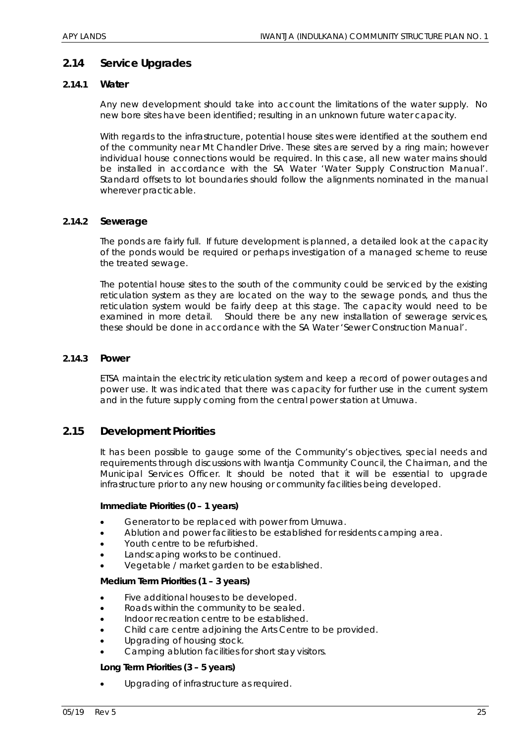# **2.14 Service Upgrades**

#### *2.14.1 Water*

Any new development should take into account the limitations of the water supply. No new bore sites have been identified; resulting in an unknown future water capacity.

With regards to the infrastructure, potential house sites were identified at the southern end of the community near Mt Chandler Drive. These sites are served by a ring main; however individual house connections would be required. In this case, all new water mains should be installed in accordance with the SA Water 'Water Supply Construction Manual'. Standard offsets to lot boundaries should follow the alignments nominated in the manual wherever practicable.

#### *2.14.2 Sewerage*

The ponds are fairly full. If future development is planned, a detailed look at the capacity of the ponds would be required or perhaps investigation of a managed scheme to reuse the treated sewage.

The potential house sites to the south of the community could be serviced by the existing reticulation system as they are located on the way to the sewage ponds, and thus the reticulation system would be fairly deep at this stage. The capacity would need to be examined in more detail. Should there be any new installation of sewerage services, these should be done in accordance with the SA Water 'Sewer Construction Manual'.

#### *2.14.3 Power*

ETSA maintain the electricity reticulation system and keep a record of power outages and power use. It was indicated that there was capacity for further use in the current system and in the future supply coming from the central power station at Umuwa.

# **2.15 Development Priorities**

It has been possible to gauge some of the Community's objectives, special needs and requirements through discussions with Iwantja Community Council, the Chairman, and the Municipal Services Officer. It should be noted that it will be essential to upgrade infrastructure prior to any new housing or community facilities being developed.

#### **Immediate Priorities (0 – 1 years)**

- Generator to be replaced with power from Umuwa.
- Ablution and power facilities to be established for residents camping area.
- Youth centre to be refurbished.
- Landscaping works to be continued.
- Vegetable / market garden to be established.

#### **Medium Term Priorities (1 – 3 years)**

- Five additional houses to be developed.
- Roads within the community to be sealed.
- Indoor recreation centre to be established.
- Child care centre adjoining the Arts Centre to be provided.
- Upgrading of housing stock.
- Camping ablution facilities for short stay visitors.

#### **Long Term Priorities (3 – 5 years)**

• Upgrading of infrastructure as required.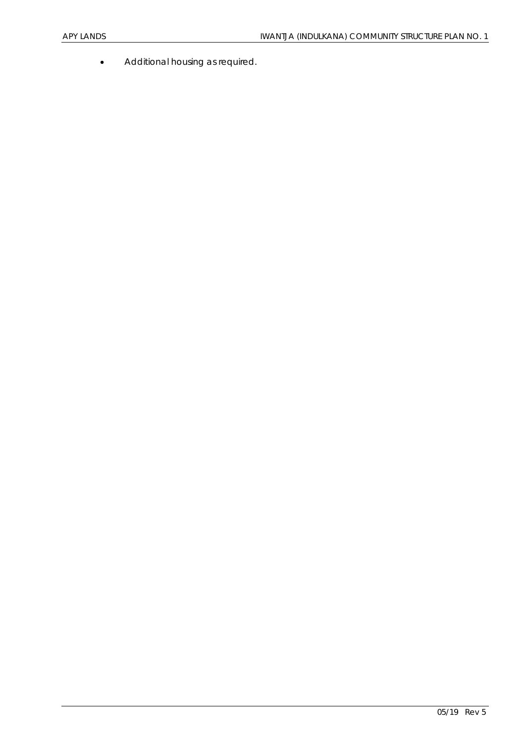• Additional housing as required.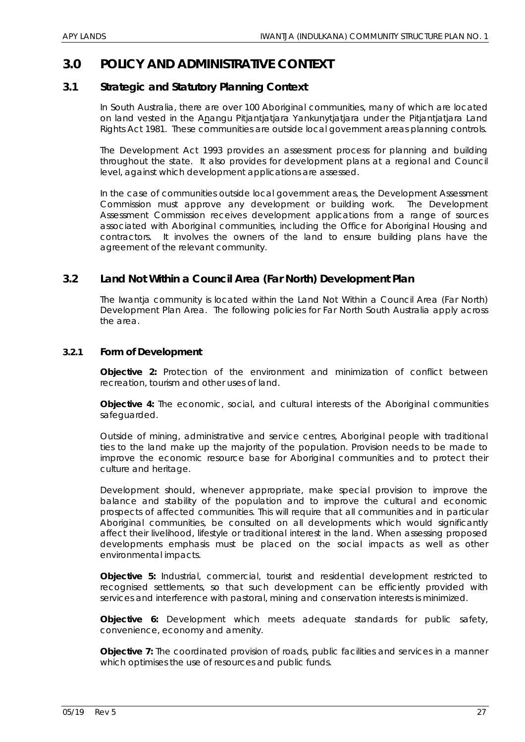# **3.0 POLICY AND ADMINISTRATIVE CONTEXT**

# **3.1 Strategic and Statutory Planning Context**

In South Australia, there are over 100 Aboriginal communities, many of which are located on land vested in the Anangu Pitjantjatjara Yankunytjatjara under the Pitjantjatjara Land Rights Act 1981. These communities are outside local government areas planning controls.

The Development Act 1993 provides an assessment process for planning and building throughout the state. It also provides for development plans at a regional and Council level, against which development applications are assessed.

In the case of communities outside local government areas, the Development Assessment Commission must approve any development or building work. The Development Assessment Commission receives development applications from a range of sources associated with Aboriginal communities, including the Office for Aboriginal Housing and contractors. It involves the owners of the land to ensure building plans have the agreement of the relevant community.

# **3.2 Land Not Within a Council Area (Far North) Development Plan**

The Iwantja community is located within the Land Not Within a Council Area (Far North) Development Plan Area. The following policies for Far North South Australia apply across the area.

#### *3.2.1 Form of Development*

**Objective 2:** Protection of the environment and minimization of conflict between recreation, tourism and other uses of land.

**Objective 4:** The economic, social, and cultural interests of the Aboriginal communities safeguarded.

Outside of mining, administrative and service centres, Aboriginal people with traditional ties to the land make up the majority of the population. Provision needs to be made to improve the economic resource base for Aboriginal communities and to protect their culture and heritage.

Development should, whenever appropriate, make special provision to improve the balance and stability of the population and to improve the cultural and economic prospects of affected communities. This will require that all communities and in particular Aboriginal communities, be consulted on all developments which would significantly affect their livelihood, lifestyle or traditional interest in the land. When assessing proposed developments emphasis must be placed on the social impacts as well as other environmental impacts.

**Objective 5:** Industrial, commercial, tourist and residential development restricted to recognised settlements, so that such development can be efficiently provided with services and interference with pastoral, mining and conservation interests is minimized.

**Objective 6:** Development which meets adequate standards for public safety, convenience, economy and amenity.

**Objective 7:** The coordinated provision of roads, public facilities and services in a manner which optimises the use of resources and public funds.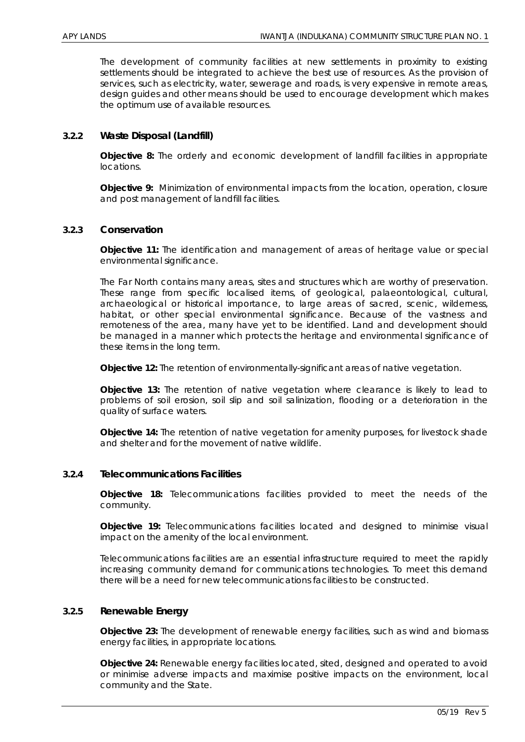The development of community facilities at new settlements in proximity to existing settlements should be integrated to achieve the best use of resources. As the provision of services, such as electricity, water, sewerage and roads, is very expensive in remote areas, design guides and other means should be used to encourage development which makes the optimum use of available resources.

#### *3.2.2 Waste Disposal (Landfill)*

**Objective 8:** The orderly and economic development of landfill facilities in appropriate locations.

**Objective 9:** Minimization of environmental impacts from the location, operation, closure and post management of landfill facilities.

#### *3.2.3 Conservation*

**Objective 11:** The identification and management of areas of heritage value or special environmental significance.

The Far North contains many areas, sites and structures which are worthy of preservation. These range from specific localised items, of geological, palaeontological, cultural, archaeological or historical importance, to large areas of sacred, scenic, wilderness, habitat, or other special environmental significance. Because of the vastness and remoteness of the area, many have yet to be identified. Land and development should be managed in a manner which protects the heritage and environmental significance of these items in the long term.

**Objective 12:** The retention of environmentally-significant areas of native vegetation.

**Objective 13:** The retention of native vegetation where clearance is likely to lead to problems of soil erosion, soil slip and soil salinization, flooding or a deterioration in the quality of surface waters.

**Objective 14:** The retention of native vegetation for amenity purposes, for livestock shade and shelter and for the movement of native wildlife.

#### *3.2.4 Telecommunications Facilities*

**Objective 18:** Telecommunications facilities provided to meet the needs of the community.

**Objective 19:** Telecommunications facilities located and designed to minimise visual impact on the amenity of the local environment.

Telecommunications facilities are an essential infrastructure required to meet the rapidly increasing community demand for communications technologies. To meet this demand there will be a need for new telecommunications facilities to be constructed.

#### *3.2.5 Renewable Energy*

**Objective 23:** The development of renewable energy facilities, such as wind and biomass energy facilities, in appropriate locations.

**Objective 24:** Renewable energy facilities located, sited, designed and operated to avoid or minimise adverse impacts and maximise positive impacts on the environment, local community and the State.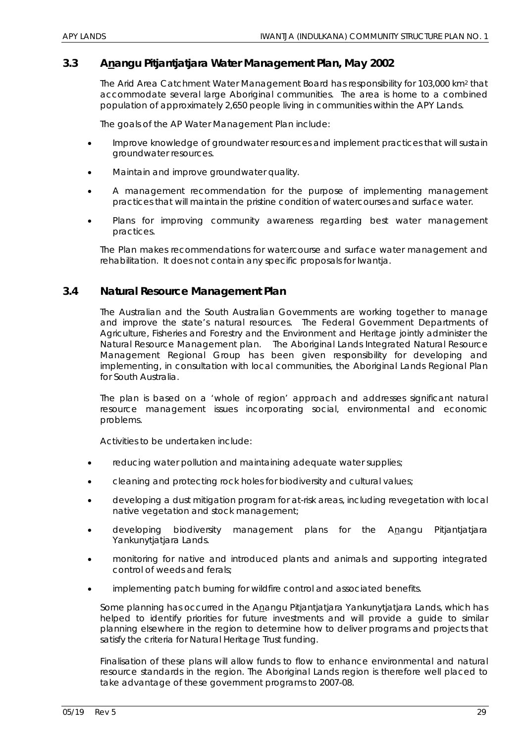# **3.3 Anangu Pitjantjatjara Water Management Plan, May 2002**

The Arid Area Catchment Water Management Board has responsibility for 103,000 km2 that accommodate several large Aboriginal communities. The area is home to a combined population of approximately 2,650 people living in communities within the APY Lands.

The goals of the AP Water Management Plan include:

- Improve knowledge of groundwater resources and implement practices that will sustain groundwater resources.
- Maintain and improve groundwater quality.
- A management recommendation for the purpose of implementing management practices that will maintain the pristine condition of watercourses and surface water.
- Plans for improving community awareness regarding best water management practices.

The Plan makes recommendations for watercourse and surface water management and rehabilitation. It does not contain any specific proposals for Iwantja.

#### **3.4 Natural Resource Management Plan**

The Australian and the South Australian Governments are working together to manage and improve the state's natural resources. The Federal Government Departments of Agriculture, Fisheries and Forestry and the Environment and Heritage jointly administer the Natural Resource Management plan. The Aboriginal Lands Integrated Natural Resource Management Regional Group has been given responsibility for developing and implementing, in consultation with local communities, the Aboriginal Lands Regional Plan for South Australia.

The plan is based on a 'whole of region' approach and addresses significant natural resource management issues incorporating social, environmental and economic problems.

Activities to be undertaken include:

- reducing water pollution and maintaining adequate water supplies;
- cleaning and protecting rock holes for biodiversity and cultural values;
- developing a dust mitigation program for at-risk areas, including revegetation with local native vegetation and stock management;
- developing biodiversity management plans for the Anangu Pitjantjatjara Yankunytjatjara Lands.
- monitoring for native and introduced plants and animals and supporting integrated control of weeds and ferals;
- implementing patch burning for wildfire control and associated benefits.

Some planning has occurred in the Anangu Pitjantjatjara Yankunytjatjara Lands, which has helped to identify priorities for future investments and will provide a guide to similar planning elsewhere in the region to determine how to deliver programs and projects that satisfy the criteria for Natural Heritage Trust funding.

Finalisation of these plans will allow funds to flow to enhance environmental and natural resource standards in the region. The Aboriginal Lands region is therefore well placed to take advantage of these government programs to 2007-08.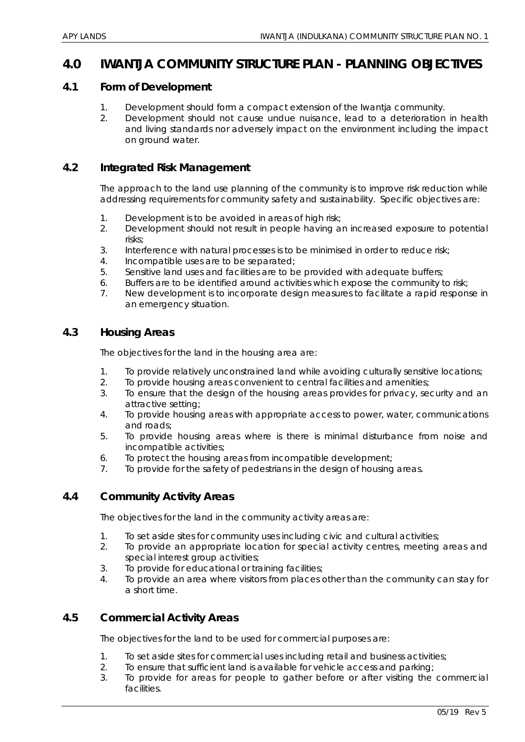# **4.0 IWANTJA COMMUNITY STRUCTURE PLAN - PLANNING OBJECTIVES**

#### **4.1 Form of Development**

- 1. Development should form a compact extension of the Iwantja community.
- 2. Development should not cause undue nuisance, lead to a deterioration in health and living standards nor adversely impact on the environment including the impact on ground water.

## **4.2 Integrated Risk Management**

The approach to the land use planning of the community is to improve risk reduction while addressing requirements for community safety and sustainability. Specific objectives are:

- 1. Development is to be avoided in areas of high risk;
- 2. Development should not result in people having an increased exposure to potential risks;
- 3. Interference with natural processes is to be minimised in order to reduce risk;
- 4. Incompatible uses are to be separated;
- 5. Sensitive land uses and facilities are to be provided with adequate buffers;
- 6. Buffers are to be identified around activities which expose the community to risk;
- 7. New development is to incorporate design measures to facilitate a rapid response in an emergency situation.

# **4.3 Housing Areas**

The objectives for the land in the housing area are:

- 1. To provide relatively unconstrained land while avoiding culturally sensitive locations;
- 2. To provide housing areas convenient to central facilities and amenities;
- 3. To ensure that the design of the housing areas provides for privacy, security and an attractive setting;
- 4. To provide housing areas with appropriate access to power, water, communications and roads;
- 5. To provide housing areas where is there is minimal disturbance from noise and incompatible activities;
- 6. To protect the housing areas from incompatible development;
- 7. To provide for the safety of pedestrians in the design of housing areas.

# **4.4 Community Activity Areas**

The objectives for the land in the community activity areas are:

- 1. To set aside sites for community uses including civic and cultural activities;
- 2. To provide an appropriate location for special activity centres, meeting areas and special interest group activities;
- 3. To provide for educational or training facilities;
- 4. To provide an area where visitors from places other than the community can stay for a short time.

# **4.5 Commercial Activity Areas**

The objectives for the land to be used for commercial purposes are:

- 1. To set aside sites for commercial uses including retail and business activities;
- 2. To ensure that sufficient land is available for vehicle access and parking;
- 3. To provide for areas for people to gather before or after visiting the commercial facilities.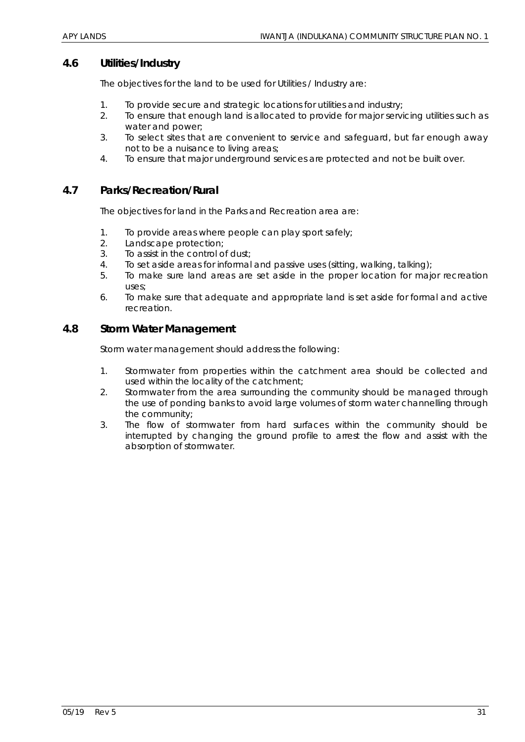## **4.6 Utilities/Industry**

The objectives for the land to be used for Utilities / Industry are:

- 1. To provide secure and strategic locations for utilities and industry;
- 2. To ensure that enough land is allocated to provide for major servicing utilities such as water and power;
- 3. To select sites that are convenient to service and safeguard, but far enough away not to be a nuisance to living areas;
- 4. To ensure that major underground services are protected and not be built over.

## **4.7 Parks/Recreation/Rural**

The objectives for land in the Parks and Recreation area are:

- 1. To provide areas where people can play sport safely;
- 2. Landscape protection;
- 3. To assist in the control of dust;
- 4. To set aside areas for informal and passive uses (sitting, walking, talking);
- 5. To make sure land areas are set aside in the proper location for major recreation uses;
- 6. To make sure that adequate and appropriate land is set aside for formal and active recreation.

## **4.8 Storm Water Management**

Storm water management should address the following:

- 1. Stormwater from properties within the catchment area should be collected and used within the locality of the catchment;
- 2. Stormwater from the area surrounding the community should be managed through the use of ponding banks to avoid large volumes of storm water channelling through the community;
- 3. The flow of stormwater from hard surfaces within the community should be interrupted by changing the ground profile to arrest the flow and assist with the absorption of stormwater.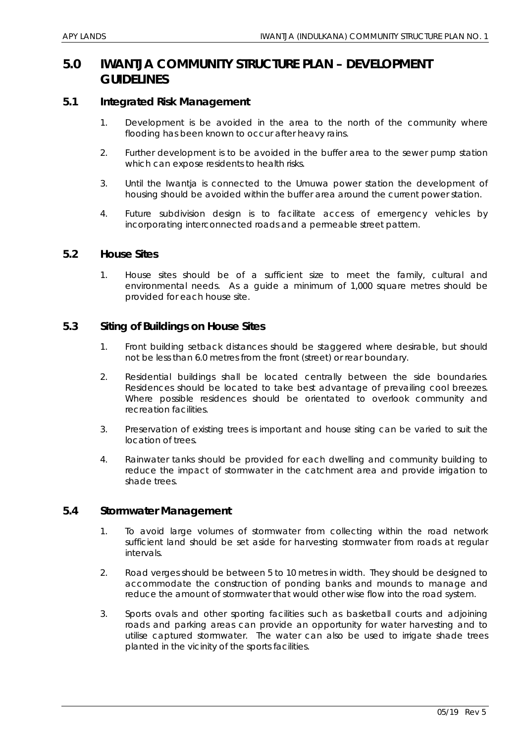# **5.0 IWANTJA COMMUNITY STRUCTURE PLAN – DEVELOPMENT GUIDELINES**

#### **5.1 Integrated Risk Management**

- 1. Development is be avoided in the area to the north of the community where flooding has been known to occur after heavy rains.
- 2. Further development is to be avoided in the buffer area to the sewer pump station which can expose residents to health risks.
- 3. Until the Iwantja is connected to the Umuwa power station the development of housing should be avoided within the buffer area around the current power station.
- 4. Future subdivision design is to facilitate access of emergency vehicles by incorporating interconnected roads and a permeable street pattern.

#### **5.2 House Sites**

1. House sites should be of a sufficient size to meet the family, cultural and environmental needs. As a guide a minimum of 1,000 square metres should be provided for each house site.

# **5.3 Siting of Buildings on House Sites**

- 1. Front building setback distances should be staggered where desirable, but should not be less than 6.0 metres from the front (street) or rear boundary.
- 2. Residential buildings shall be located centrally between the side boundaries. Residences should be located to take best advantage of prevailing cool breezes. Where possible residences should be orientated to overlook community and recreation facilities.
- 3. Preservation of existing trees is important and house siting can be varied to suit the location of trees.
- 4. Rainwater tanks should be provided for each dwelling and community building to reduce the impact of stormwater in the catchment area and provide irrigation to shade trees.

#### **5.4 Stormwater Management**

- 1. To avoid large volumes of stormwater from collecting within the road network sufficient land should be set aside for harvesting stormwater from roads at regular intervals.
- 2. Road verges should be between 5 to 10 metres in width. They should be designed to accommodate the construction of ponding banks and mounds to manage and reduce the amount of stormwater that would other wise flow into the road system.
- 3. Sports ovals and other sporting facilities such as basketball courts and adjoining roads and parking areas can provide an opportunity for water harvesting and to utilise captured stormwater. The water can also be used to irrigate shade trees planted in the vicinity of the sports facilities.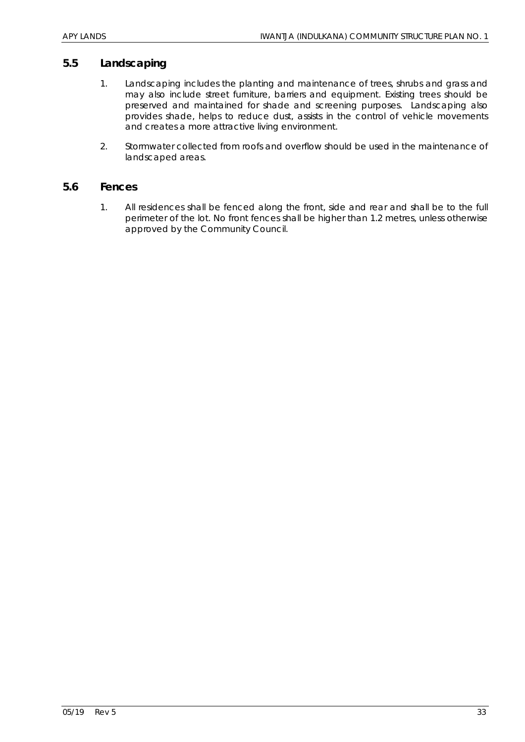## **5.5 Landscaping**

- 1. Landscaping includes the planting and maintenance of trees, shrubs and grass and may also include street furniture, barriers and equipment. Existing trees should be preserved and maintained for shade and screening purposes. Landscaping also provides shade, helps to reduce dust, assists in the control of vehicle movements and creates a more attractive living environment.
- 2. Stormwater collected from roofs and overflow should be used in the maintenance of landscaped areas.

#### **5.6 Fences**

1. All residences shall be fenced along the front, side and rear and shall be to the full perimeter of the lot. No front fences shall be higher than 1.2 metres, unless otherwise approved by the Community Council.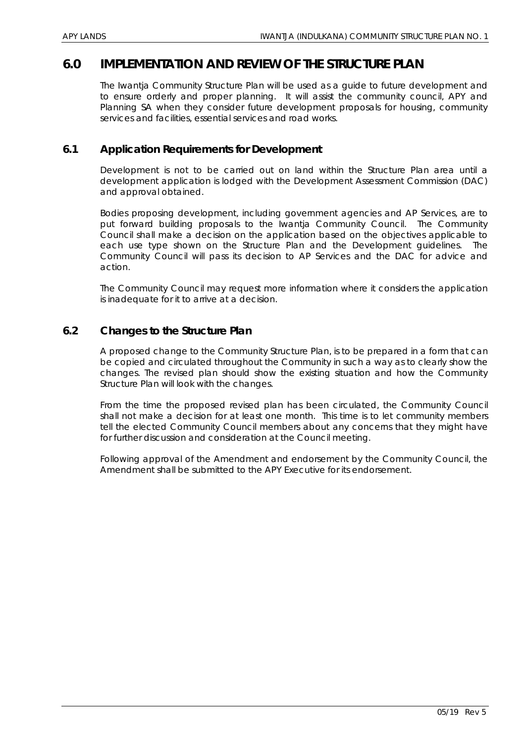# **6.0 IMPLEMENTATION AND REVIEW OF THE STRUCTURE PLAN**

The Iwantja Community Structure Plan will be used as a guide to future development and to ensure orderly and proper planning. It will assist the community council, APY and Planning SA when they consider future development proposals for housing, community services and facilities, essential services and road works.

## **6.1 Application Requirements for Development**

Development is not to be carried out on land within the Structure Plan area until a development application is lodged with the Development Assessment Commission (DAC) and approval obtained.

Bodies proposing development, including government agencies and AP Services, are to put forward building proposals to the Iwantja Community Council. The Community Council shall make a decision on the application based on the objectives applicable to each use type shown on the Structure Plan and the Development guidelines. The Community Council will pass its decision to AP Services and the DAC for advice and action.

The Community Council may request more information where it considers the application is inadequate for it to arrive at a decision.

## **6.2 Changes to the Structure Plan**

A proposed change to the Community Structure Plan, is to be prepared in a form that can be copied and circulated throughout the Community in such a way as to clearly show the changes. The revised plan should show the existing situation and how the Community Structure Plan will look with the changes.

From the time the proposed revised plan has been circulated, the Community Council shall not make a decision for at least one month. This time is to let community members tell the elected Community Council members about any concerns that they might have for further discussion and consideration at the Council meeting.

Following approval of the Amendment and endorsement by the Community Council, the Amendment shall be submitted to the APY Executive for its endorsement.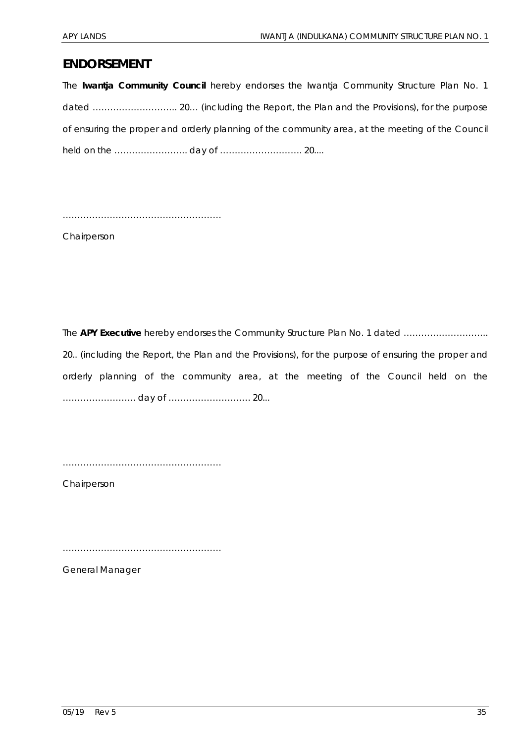# **ENDORSEMENT**

The **Iwantja Community Council** hereby endorses the Iwantja Community Structure Plan No. 1 dated ……………………….. 20… (including the Report, the Plan and the Provisions), for the purpose of ensuring the proper and orderly planning of the community area, at the meeting of the Council held on the ……………………. day of ………………………. 20....

………………………………………………

Chairperson

The **APY Executive** hereby endorses the Community Structure Plan No. 1 dated .................................. 20.. (including the Report, the Plan and the Provisions), for the purpose of ensuring the proper and orderly planning of the community area, at the meeting of the Council held on the ……………………. day of ………………………. 20...

………………………………………………

Chairperson

………………………………………………

General Manager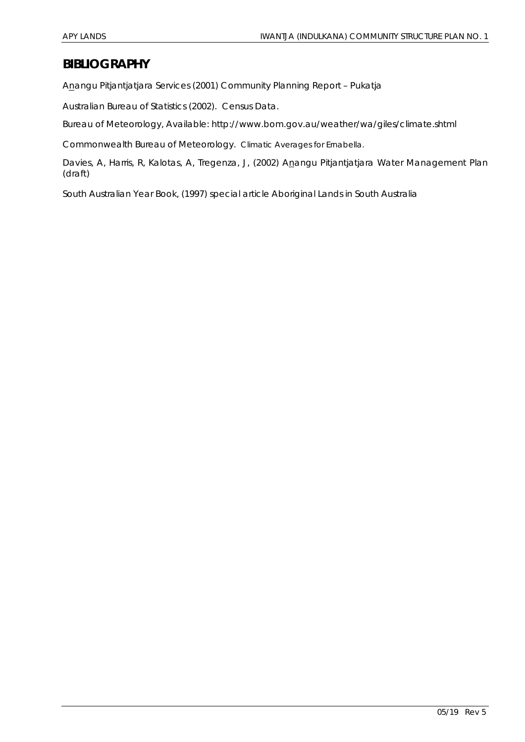# **BIBLIOGRAPHY**

Anangu Pitjantjatjara Services (2001) Community Planning Report – Pukatja

Australian Bureau of Statistics (2002). Census Data.

Bureau of Meteorology, *Available*: http://www.bom.gov.au/weather/wa/giles/climate.shtml

Commonwealth Bureau of Meteorology. Climatic Averages for Ernabella.

Davies, A, Harris, R, Kalotas, A, Tregenza, J, (2002) Anangu Pitjantjatjara Water Management Plan (draft)

South Australian Year Book, (1997) special article Aboriginal Lands in South Australia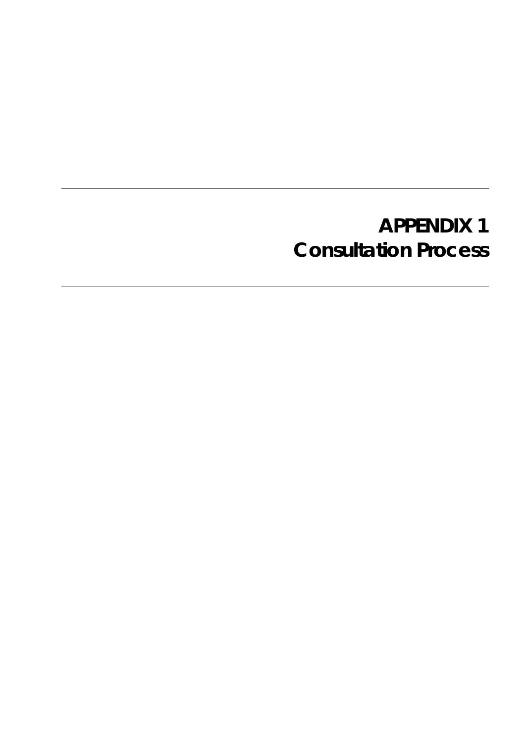# **APPENDIX 1 Consultation Process**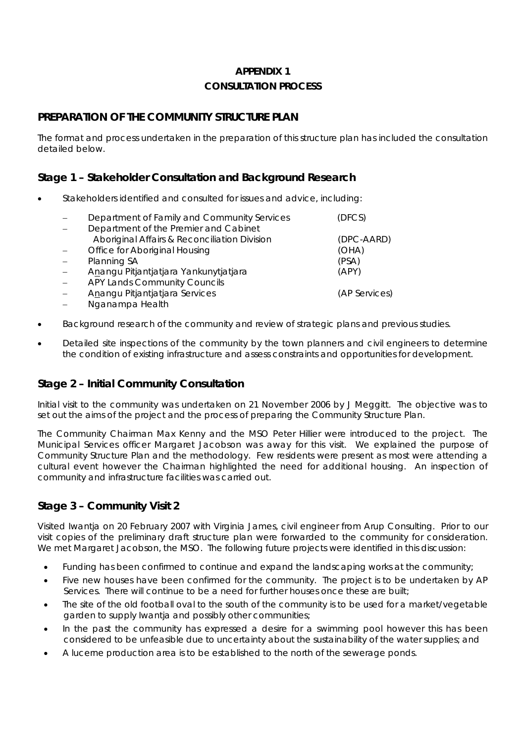# **APPENDIX 1 CONSULTATION PROCESS**

# **PREPARATION OF THE COMMUNITY STRUCTURE PLAN**

The format and process undertaken in the preparation of this structure plan has included the consultation detailed below.

# **Stage 1 – Stakeholder Consultation and Background Research**

- Stakeholders identified and consulted for issues and advice, including:
	- Department of Family and Community Services (DFCS)
	- − Department of the Premier and Cabinet Aboriginal Affairs & Reconciliation Division (DPC-AARD) − Office for Aboriginal Housing (OHA) − Planning SA (PSA) − Anangu Pitjantjatjara Yankunytjatjara (APY) − APY Lands Community Councils − Anangu Pitjantjatjara Services (AP Services) − Nganampa Health
- Background research of the community and review of strategic plans and previous studies.
- Detailed site inspections of the community by the town planners and civil engineers to determine the condition of existing infrastructure and assess constraints and opportunities for development.

# **Stage 2 – Initial Community Consultation**

Initial visit to the community was undertaken on 21 November 2006 by J Meggitt. The objective was to set out the aims of the project and the process of preparing the Community Structure Plan.

The Community Chairman Max Kenny and the MSO Peter Hillier were introduced to the project. The Municipal Services officer Margaret Jacobson was away for this visit. We explained the purpose of Community Structure Plan and the methodology. Few residents were present as most were attending a cultural event however the Chairman highlighted the need for additional housing. An inspection of community and infrastructure facilities was carried out.

# **Stage 3 – Community Visit 2**

Visited Iwantja on 20 February 2007 with Virginia James, civil engineer from Arup Consulting. Prior to our visit copies of the preliminary draft structure plan were forwarded to the community for consideration. We met Margaret Jacobson, the MSO. The following future projects were identified in this discussion:

- Funding has been confirmed to continue and expand the landscaping works at the community;
- Five new houses have been confirmed for the community. The project is to be undertaken by AP Services. There will continue to be a need for further houses once these are built;
- The site of the old football oval to the south of the community is to be used for a market/vegetable garden to supply Iwantja and possibly other communities;
- In the past the community has expressed a desire for a swimming pool however this has been considered to be unfeasible due to uncertainty about the sustainability of the water supplies; and
- A lucerne production area is to be established to the north of the sewerage ponds.